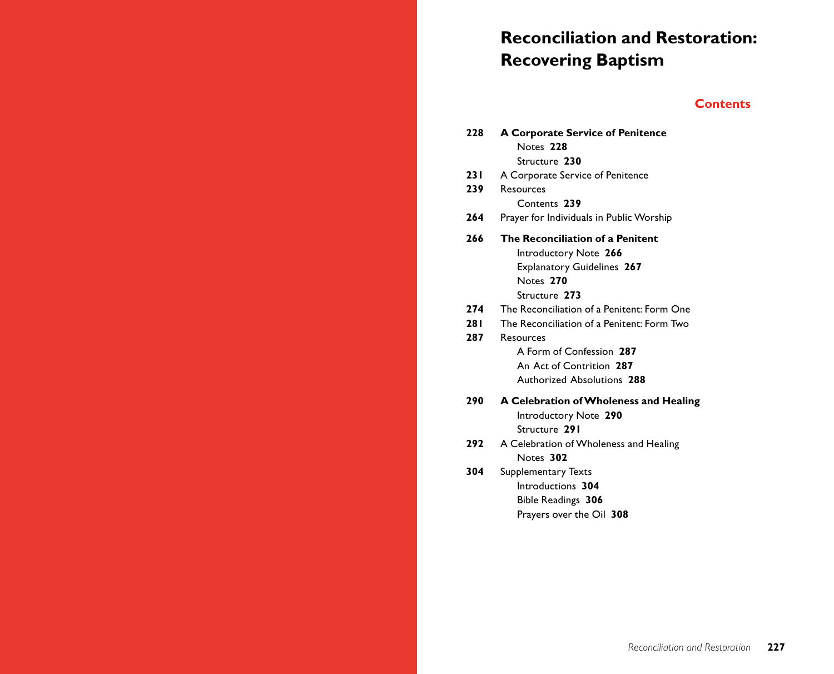# **Reconciliation and Restoration: Recovering Baptism**

## **Contents**

| 228  | <b>A Corporate Service of Penitence</b>    |
|------|--------------------------------------------|
|      | Notes 228                                  |
|      | Structure 230                              |
| 23 I | A Corporate Service of Penitence           |
| 239  | Resources                                  |
|      | Contents 239                               |
| 264  | Prayer for Individuals in Public Worship   |
| 266  | The Reconciliation of a Penitent           |
|      | Introductory Note 266                      |
|      | <b>Explanatory Guidelines 267</b>          |
|      | Notes 270                                  |
|      | Structure 273                              |
| 274  | The Reconciliation of a Penitent: Form One |
| 28 I | The Reconciliation of a Penitent: Form Two |
| 287  | Resources                                  |
|      | A Form of Confession 287                   |
|      | An Act of Contrition 287                   |
|      | Authorized Absolutions 288                 |
| 290  | A Celebration of Wholeness and Healing     |
|      | Introductory Note 290                      |
|      | Structure 291                              |
| 292  | A Celebration of Wholeness and Healing     |
|      | Notes 302                                  |
| 304  | <b>Supplementary Texts</b>                 |
|      | Introductions 304                          |
|      | Bible Readings 306                         |
|      | Prayers over the Oil 308                   |
|      |                                            |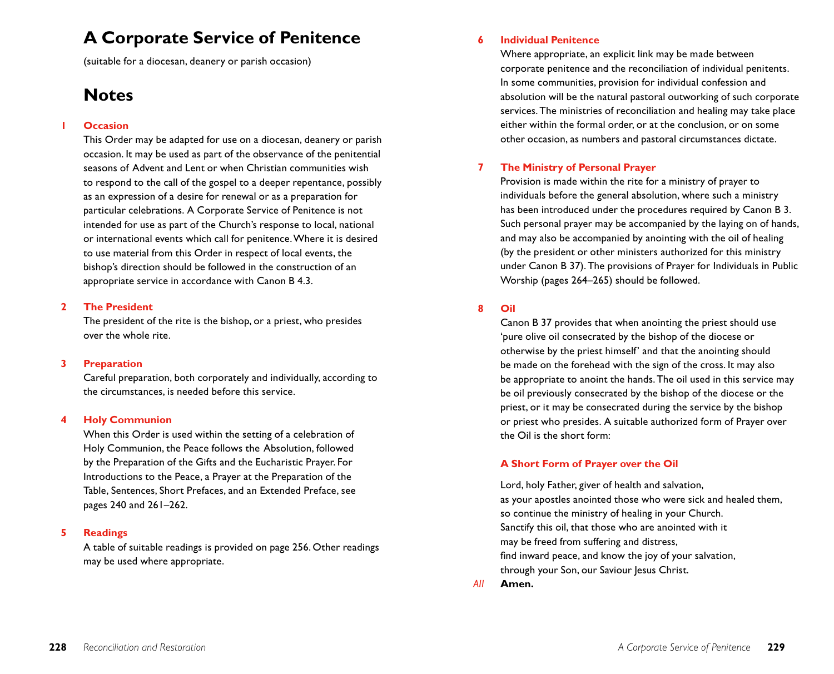## **A Corporate Service of Penitence**

(suitable for a diocesan, deanery or parish occasion)

## **Notes**

### **1 Occasion**

This Order may be adapted for use on a diocesan, deanery or parish occasion. It may be used as part of the observance of the penitential seasons of Advent and Lent or when Christian communities wish to respond to the call of the gospel to a deeper repentance, possibly as an expression of a desire for renewal or as a preparation for particular celebrations. A Corporate Service of Penitence is not intended for use as part of the Church's response to local, national or international events which call for penitence.Where it is desired to use material from this Order in respect of local events, the bishop's direction should be followed in the construction of an appropriate service in accordance with Canon B 4.3.

#### **2 The President**

The president of the rite is the bishop, or a priest, who presides over the whole rite.

### **3 Preparation**

Careful preparation, both corporately and individually, according to the circumstances, is needed before this service.

### **4 Holy Communion**

When this Order is used within the setting of a celebration of Holy Communion, the Peace follows the Absolution, followed by the Preparation of the Gifts and the Eucharistic Prayer. For Introductions to the Peace, a Prayer at the Preparation of the Table, Sentences, Short Prefaces, and an Extended Preface, see pages 240 and 261–262.

#### **5 Readings**

A table of suitable readings is provided on page 256. Other readings may be used where appropriate.

### **6 Individual Penitence**

Where appropriate, an explicit link may be made between corporate penitence and the reconciliation of individual penitents. In some communities, provision for individual confession and absolution will be the natural pastoral outworking of such corporate services. The ministries of reconciliation and healing may take place either within the formal order, or at the conclusion, or on some other occasion, as numbers and pastoral circumstances dictate.

### **7 The Ministry of Personal Prayer**

Provision is made within the rite for a ministry of prayer to individuals before the general absolution, where such a ministry has been introduced under the procedures required by Canon B 3. Such personal prayer may be accompanied by the laying on of hands, and may also be accompanied by anointing with the oil of healing (by the president or other ministers authorized for this ministry under Canon B 37). The provisions of Prayer for Individuals in Public Worship (pages 264–265) should be followed.

### **8 Oil**

Canon B 37 provides that when anointing the priest should use 'pure olive oil consecrated by the bishop of the diocese or otherwise by the priest himself' and that the anointing should be made on the forehead with the sign of the cross. It may also be appropriate to anoint the hands. The oil used in this service may be oil previously consecrated by the bishop of the diocese or the priest, or it may be consecrated during the service by the bishop or priest who presides. A suitable authorized form of Prayer over the Oil is the short form:

### **A Short Form of Prayer over the Oil**

Lord, holy Father, giver of health and salvation, as your apostles anointed those who were sick and healed them, so continue the ministry of healing in your Church. Sanctify this oil, that those who are anointed with it may be freed from suffering and distress, find inward peace, and know the joy of your salvation, through your Son, our Saviour Jesus Christ.

*All* **Amen.**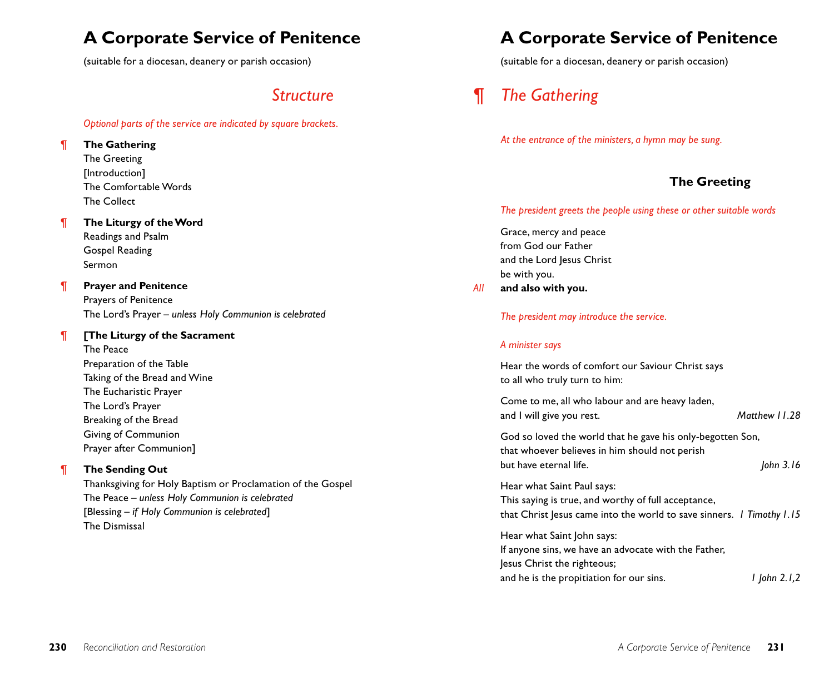## **A Corporate Service of Penitence**

(suitable for a diocesan, deanery or parish occasion)

## *Structure*

### *Optional parts of the service are indicated by square brackets.*

### ¶ **The Gathering**

The Greeting [Introduction] The Comfortable Words The Collect

### ¶ **The Liturgy of the Word**

Readings and Psalm Gospel Reading Sermon

## ¶ **Prayer and Penitence** Prayers of Penitence

The Lord's Prayer – *unless Holy Communion is celebrated*

### ¶ **[The Liturgy of the Sacrament**

The Peace Preparation of the Table Taking of the Bread and Wine The Eucharistic Prayer The Lord's Prayer Breaking of the Bread Giving of Communion Prayer after Communion]

### ¶ **The Sending Out**

Thanksgiving for Holy Baptism or Proclamation of the Gospel The Peace – *unless Holy Communion is celebrated* [Blessing – *if Holy Communion is celebrated*] The Dismissal

# **A Corporate Service of Penitence**

(suitable for a diocesan, deanery or parish occasion)

# ¶ *The Gathering*

*At the entrance of the ministers, a hymn may be sung.*

## **The Greeting**

*The president greets the people using these or other suitable words*

Grace, mercy and peace from God our Father and the Lord Jesus Christ be with you.

*All* **and also with you.**

*The president may introduce the service.*

### *A minister says*

Hear the words of comfort our Saviour Christ says to all who truly turn to him:

Come to me, all who labour and are heavy laden, and I will give you rest. *Matthew 11.28*

God so loved the world that he gave his only-begotten Son, that whoever believes in him should not perish but have eternal life. *John 3.16* 

Hear what Saint Paul says: This saying is true, and worthy of full acceptance, that Christ Jesus came into the world to save sinners. *1 Timothy 1.15*

Hear what Saint John says: If anyone sins, we have an advocate with the Father, Jesus Christ the righteous; and he is the propitiation for our sins. *1 John 2.1,2*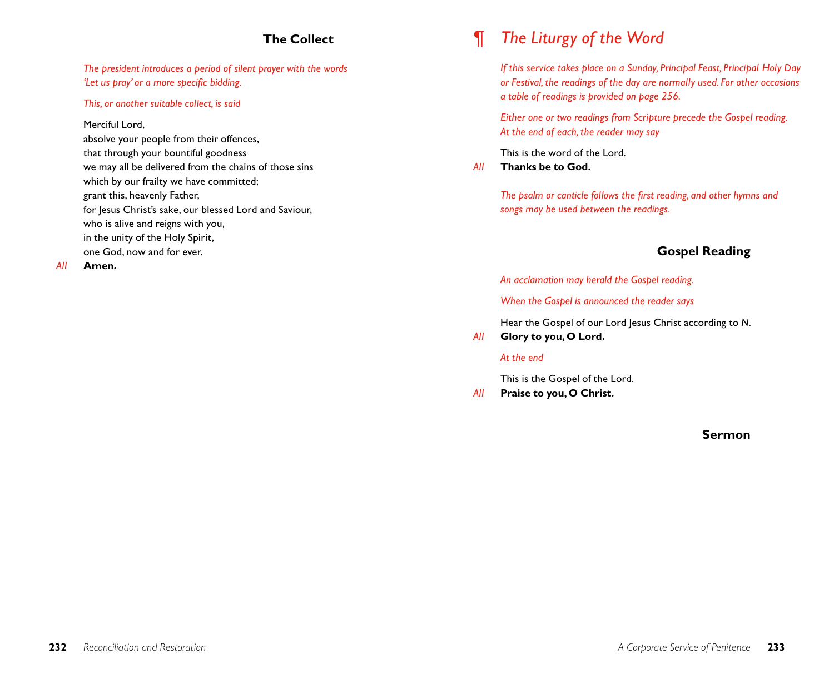## **The Collect**

*The president introduces a period of silent prayer with the words 'Let us pray' or a more specific bidding.*

*This, or another suitable collect, is said* 

Merciful Lord,

absolve your people from their offences, that through your bountiful goodness we may all be delivered from the chains of those sins which by our frailty we have committed; grant this, heavenly Father, for lesus Christ's sake, our blessed Lord and Saviour, who is alive and reigns with you, in the unity of the Holy Spirit, one God, now and for ever.

*All* **Amen.**

# ¶ *The Liturgy of the Word*

*If this service takes place on a Sunday, Principal Feast, Principal Holy Day or Festival, the readings of the day are normally used. For other occasions a table of readings is provided on page 256.*

*Either one or two readings from Scripture precede the Gospel reading. At the end of each, the reader may say*

This is the word of the Lord.

*All* **Thanks be to God.**

*The psalm or canticle follows the first reading, and other hymns and songs may be used between the readings.*

## **Gospel Reading**

*An acclamation may herald the Gospel reading.*

*When the Gospel is announced the reader says* 

Hear the Gospel of our Lord Jesus Christ according to *N*.

*All* **Glory to you, O Lord.**

### *At the end*

This is the Gospel of the Lord.

*All* **Praise to you, O Christ.**

## **Sermon**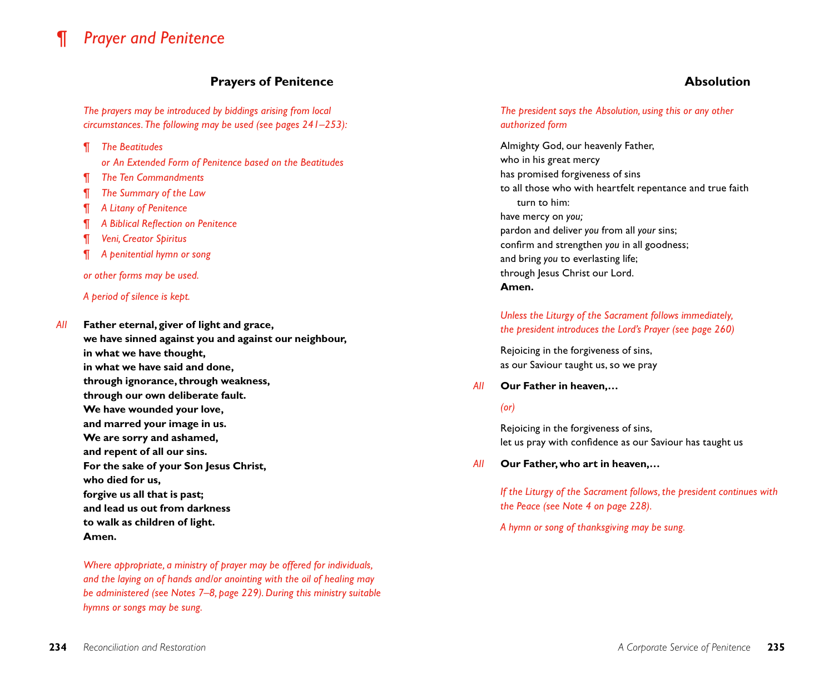# ¶ *Prayer and Penitence*

## **Prayers of Penitence**

*The prayers may be introduced by biddings arising from local circumstances. The following may be used (see pages 241–253):*

### *¶ The Beatitudes or An Extended Form of Penitence based on the Beatitudes ¶ The Ten Commandments*

*¶ The Summary of the Law*

- *¶ A Litany of Penitence*
- *¶ A Biblical Reflection on Penitence*
- *¶ Veni, Creator Spiritus*
- *¶ A penitential hymn or song*

*or other forms may be used.*

#### *A period of silence is kept.*

*All* **Father eternal, giver of light and grace, we have sinned against you and against our neighbour, in what we have thought, in what we have said and done, through ignorance, through weakness, through our own deliberate fault. We have wounded your love, and marred your image in us. We are sorry and ashamed, and repent of all our sins. For the sake of your Son Jesus Christ, who died for us, forgive us all that is past; and lead us out from darkness to walk as children of light.**

**Amen.**

*Where appropriate, a ministry of prayer may be offered for individuals, and the laying on of hands and/or anointing with the oil of healing may be administered (see Notes 7–8, page 229). During this ministry suitable hymns or songs may be sung.*

## *The president says the Absolution, using this or any other authorized form*

Almighty God, our heavenly Father, who in his great mercy has promised forgiveness of sins to all those who with heartfelt repentance and true faith turn to him: have mercy on *you;* pardon and deliver *you* from all *your* sins; confirm and strengthen *you* in all goodness; and bring *you* to everlasting life; through Jesus Christ our Lord. **Amen.**

*Unless the Liturgy of the Sacrament follows immediately, the president introduces the Lord's Prayer (see page 260)*

Rejoicing in the forgiveness of sins, as our Saviour taught us, so we pray

### *All* **Our Father in heaven,…**

### *(or)*

Rejoicing in the forgiveness of sins, let us pray with confidence as our Saviour has taught us

*All* **Our Father, who art in heaven,…**

*If the Liturgy of the Sacrament follows, the president continues with the Peace (see Note 4 on page 228).*

*A hymn or song of thanksgiving may be sung.*

## **Absolution**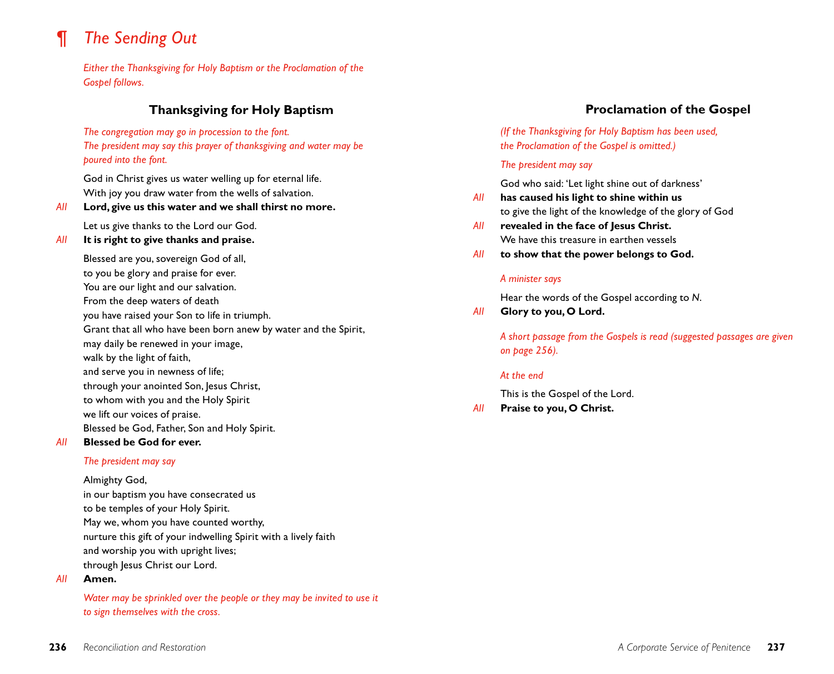# ¶ *The Sending Out*

*Either the Thanksgiving for Holy Baptism or the Proclamation of the Gospel follows.*

## **Thanksgiving for Holy Baptism**

*The congregation may go in procession to the font. The president may say this prayer of thanksgiving and water may be poured into the font.*

God in Christ gives us water welling up for eternal life. With joy you draw water from the wells of salvation.

### *All* **Lord, give us this water and we shall thirst no more.**

Let us give thanks to the Lord our God.

#### *All* **It is right to give thanks and praise.**

Blessed are you, sovereign God of all,

to you be glory and praise for ever.

You are our light and our salvation.

From the deep waters of death

you have raised your Son to life in triumph.

Grant that all who have been born anew by water and the Spirit,

may daily be renewed in your image,

walk by the light of faith,

and serve you in newness of life;

through your anointed Son, Jesus Christ,

to whom with you and the Holy Spirit

we lift our voices of praise.

Blessed be God, Father, Son and Holy Spirit.

### *All* **Blessed be God for ever.**

### *The president may say*

Almighty God,

in our baptism you have consecrated us to be temples of your Holy Spirit. May we, whom you have counted worthy, nurture this gift of your indwelling Spirit with a lively faith and worship you with upright lives; through Jesus Christ our Lord.

### *All* **Amen.**

*Water may be sprinkled over the people or they may be invited to use it to sign themselves with the cross.*

## **Proclamation of the Gospel**

*(If the Thanksgiving for Holy Baptism has been used, the Proclamation of the Gospel is omitted.)* 

### *The president may say*

God who said: 'Let light shine out of darkness'

- *All* **has caused his light to shine within us** to give the light of the knowledge of the glory of God
- *All* **revealed in the face of Jesus Christ.** We have this treasure in earthen vessels
- *All* **to show that the power belongs to God.**

### *A minister says*

Hear the words of the Gospel according to *N*.

*All* **Glory to you, O Lord.**

*A short passage from the Gospels is read (suggested passages are given on page 256).*

### *At the end*

This is the Gospel of the Lord.

*All* **Praise to you, O Christ.**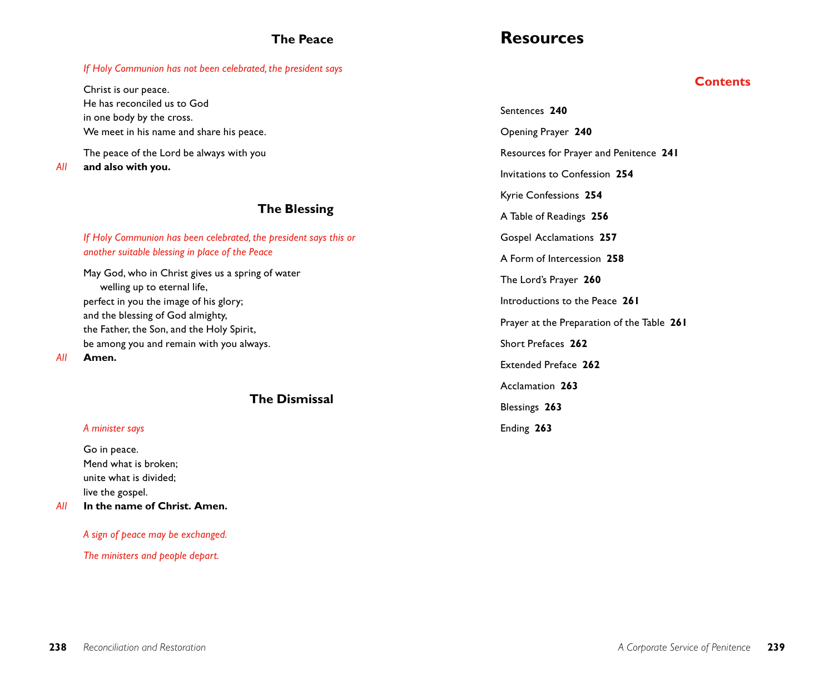## **The Peace**

*If Holy Communion has not been celebrated, the president says*

# **Resources**

Ending **263**

## **Contents**

|     | Christ is our peace.<br>He has reconciled us to God                              |                                            |
|-----|----------------------------------------------------------------------------------|--------------------------------------------|
|     | in one body by the cross.                                                        | Sentences 240                              |
|     | We meet in his name and share his peace.                                         | Opening Prayer 240                         |
|     | The peace of the Lord be always with you                                         | Resources for Prayer and Penitence 241     |
| All | and also with you.                                                               | Invitations to Confession 254              |
|     |                                                                                  | Kyrie Confessions 254                      |
|     | <b>The Blessing</b>                                                              | A Table of Readings 256                    |
|     | If Holy Communion has been celebrated, the president says this or                | Gospel Acclamations 257                    |
|     | another suitable blessing in place of the Peace                                  | A Form of Intercession 258                 |
|     | May God, who in Christ gives us a spring of water<br>welling up to eternal life, | The Lord's Prayer 260                      |
|     | perfect in you the image of his glory;                                           | Introductions to the Peace 261             |
|     | and the blessing of God almighty,<br>the Father, the Son, and the Holy Spirit,   | Prayer at the Preparation of the Table 261 |
|     | be among you and remain with you always.                                         | Short Prefaces 262                         |
| All | Amen.                                                                            | Extended Preface 262                       |
|     |                                                                                  | Acclamation 263                            |
|     | <b>The Dismissal</b>                                                             | Blessings 263                              |
|     |                                                                                  |                                            |

### *A minister says*

Go in peace. Mend what is broken; unite what is divided; live the gospel.

*All* **In the name of Christ. Amen.**

*A sign of peace may be exchanged.*

*The ministers and people depart.*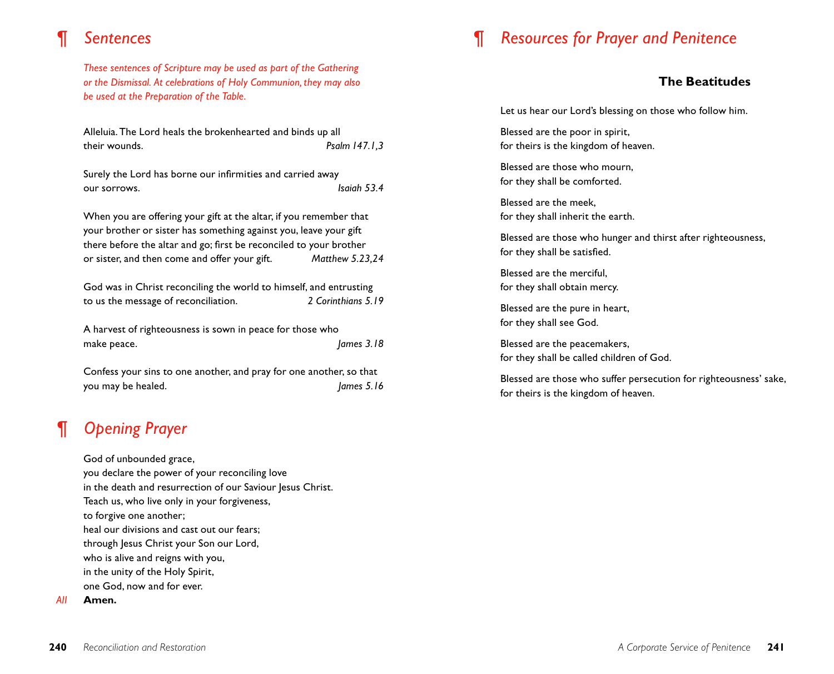# *¶ Sentences*

*These sentences of Scripture may be used as part of the Gathering or the Dismissal. At celebrations of Holy Communion, they may also be used at the Preparation of the Table.*

Alleluia. The Lord heals the brokenhearted and binds up all their wounds. *Psalm 147.1,3*

Surely the Lord has borne our infirmities and carried away our sorrows. *Isaiah 53.4*

When you are offering your gift at the altar, if you remember that your brother or sister has something against you, leave your gift there before the altar and go; first be reconciled to your brother or sister, and then come and offer your gift. *Matthew 5.23,24*

God was in Christ reconciling the world to himself, and entrusting to us the message of reconciliation. *2 Corinthians 5.19*

A harvest of righteousness is sown in peace for those who make peace. *James 3.18* 

Confess your sins to one another, and pray for one another, so that you may be healed. *James 5.16*

# *¶ Opening Prayer*

God of unbounded grace, you declare the power of your reconciling love in the death and resurrection of our Saviour Jesus Christ. Teach us, who live only in your forgiveness, to forgive one another; heal our divisions and cast out our fears; through Jesus Christ your Son our Lord, who is alive and reigns with you, in the unity of the Holy Spirit, one God, now and for ever.

### *All* **Amen.**

# ¶ *Resources for Prayer and Penitence*

## **The Beatitudes**

Let us hear our Lord's blessing on those who follow him.

Blessed are the poor in spirit, for theirs is the kingdom of heaven.

Blessed are those who mourn, for they shall be comforted.

Blessed are the meek, for they shall inherit the earth.

Blessed are those who hunger and thirst after righteousness, for they shall be satisfied.

Blessed are the merciful, for they shall obtain mercy.

Blessed are the pure in heart, for they shall see God.

Blessed are the peacemakers, for they shall be called children of God.

Blessed are those who suffer persecution for righteousness' sake, for theirs is the kingdom of heaven.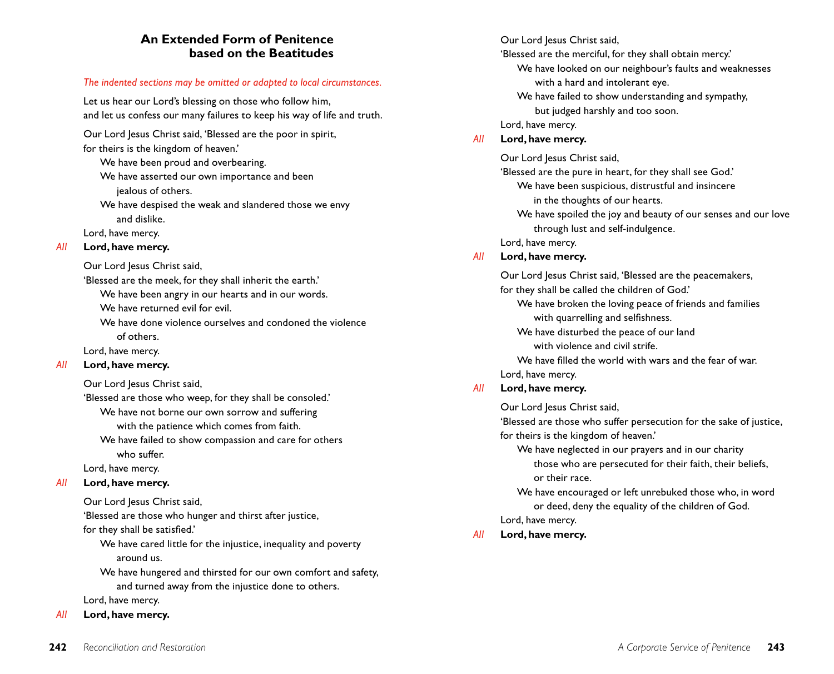## **An Extended Form of Penitence based on the Beatitudes**

### *The indented sections may be omitted or adapted to local circumstances.*

Let us hear our Lord's blessing on those who follow him, and let us confess our many failures to keep his way of life and truth.

Our Lord Jesus Christ said, 'Blessed are the poor in spirit, for theirs is the kingdom of heaven.'

We have been proud and overbearing.

We have asserted our own importance and been jealous of others.

We have despised the weak and slandered those we envy and dislike.

Lord, have mercy.

### *All* **Lord, have mercy.**

Our Lord Jesus Christ said,

'Blessed are the meek, for they shall inherit the earth.'

We have been angry in our hearts and in our words.

We have returned evil for evil.

We have done violence ourselves and condoned the violence of others.

Lord, have mercy.

### *All* **Lord, have mercy.**

Our Lord Jesus Christ said,

'Blessed are those who weep, for they shall be consoled.'

We have not borne our own sorrow and suffering with the patience which comes from faith.

We have failed to show compassion and care for others who suffer.

Lord, have mercy.

### *All* **Lord, have mercy.**

Our Lord Jesus Christ said,

'Blessed are those who hunger and thirst after justice, for they shall be satisfied.'

We have cared little for the injustice, inequality and poverty around us.

We have hungered and thirsted for our own comfort and safety, and turned away from the injustice done to others.

Lord, have mercy.

*All* **Lord, have mercy.**

Our Lord Jesus Christ said, 'Blessed are the merciful, for they shall obtain mercy.' We have looked on our neighbour's faults and weaknesses

with a hard and intolerant eye.

We have failed to show understanding and sympathy, but judged harshly and too soon.

Lord, have mercy.

### *All* **Lord, have mercy.**

Our Lord Jesus Christ said,

'Blessed are the pure in heart, for they shall see God.'

We have been suspicious, distrustful and insincere in the thoughts of our hearts.

We have spoiled the joy and beauty of our senses and our love through lust and self-indulgence.

Lord, have mercy.

### *All* **Lord, have mercy.**

Our Lord Jesus Christ said, 'Blessed are the peacemakers, for they shall be called the children of God.'

We have broken the loving peace of friends and families with quarrelling and selfishness.

We have disturbed the peace of our land with violence and civil strife.

We have filled the world with wars and the fear of war. Lord, have mercy.

### *All* **Lord, have mercy.**

Our Lord Jesus Christ said,

'Blessed are those who suffer persecution for the sake of justice, for theirs is the kingdom of heaven.'

We have neglected in our prayers and in our charity those who are persecuted for their faith, their beliefs, or their race.

We have encouraged or left unrebuked those who, in word or deed, deny the equality of the children of God.

Lord, have mercy.

### Lord, have mercy.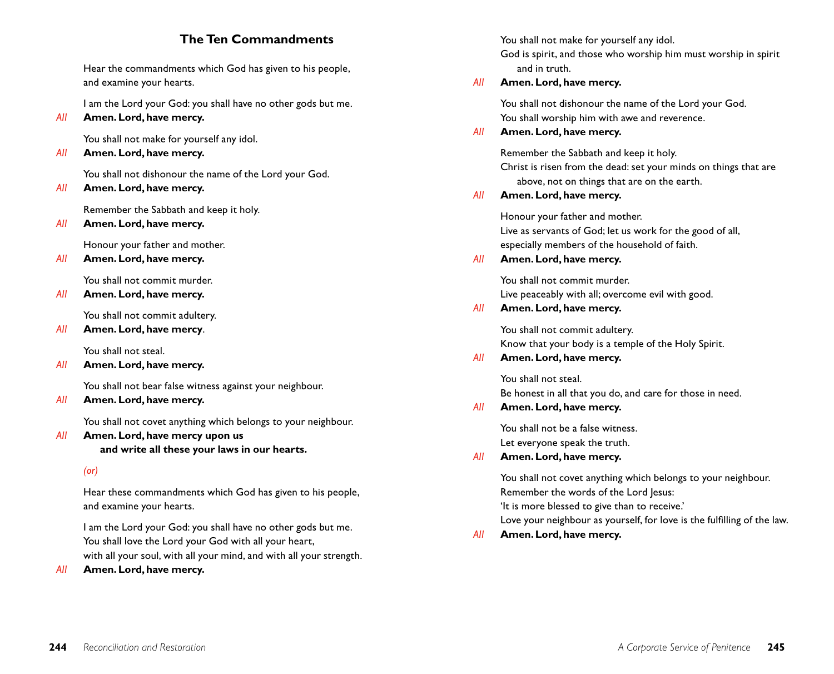## **The Ten Commandments**

Hear the commandments which God has given to his people, and examine your hearts.

I am the Lord your God: you shall have no other gods but me.

*All* **Amen. Lord, have mercy.**

You shall not make for yourself any idol.

*All* **Amen. Lord, have mercy.**

You shall not dishonour the name of the Lord your God.

*All* **Amen. Lord, have mercy.**

Remember the Sabbath and keep it holy.

*All* **Amen. Lord, have mercy.**

Honour your father and mother.

*All* **Amen. Lord, have mercy.**

You shall not commit murder.

*All* **Amen. Lord, have mercy.**

You shall not commit adultery.

*All* **Amen.Lord, have mercy**.

You shall not steal.

*All* **Amen. Lord, have mercy.**

You shall not bear false witness against your neighbour.

*All* **Amen. Lord, have mercy.**

You shall not covet anything which belongs to your neighbour.

*All* **Amen.Lord, have mercy upon us and write all these your laws in our hearts.**

### *(or)*

Hear these commandments which God has given to his people, and examine your hearts.

I am the Lord your God: you shall have no other gods but me. You shall love the Lord your God with all your heart, with all your soul, with all your mind, and with all your strength.

*All* **Amen.Lord, have mercy.**

You shall not make for yourself any idol. God is spirit, and those who worship him must worship in spirit and in truth.

### *All* **Amen. Lord, have mercy.**

You shall not dishonour the name of the Lord your God. You shall worship him with awe and reverence.

### *All* **Amen. Lord, have mercy.**

Remember the Sabbath and keep it holy.

Christ is risen from the dead: set your minds on things that are above, not on things that are on the earth.

### *All* **Amen. Lord, have mercy.**

Honour your father and mother. Live as servants of God; let us work for the good of all, especially members of the household of faith.

### *All* **Amen. Lord, have mercy.**

You shall not commit murder. Live peaceably with all; overcome evil with good.

### *All* **Amen. Lord, have mercy.**

You shall not commit adultery. Know that your body is a temple of the Holy Spirit.

*All* **Amen. Lord, have mercy.**

You shall not steal. Be honest in all that you do, and care for those in need.

*All* **Amen.Lord, have mercy.**

You shall not be a false witness. Let everyone speak the truth.

### *All* **Amen. Lord, have mercy.**

You shall not covet anything which belongs to your neighbour. Remember the words of the Lord Jesus: 'It is more blessed to give than to receive.' Love your neighbour as yourself, for love is the fulfilling of the law.

*All* **Amen.Lord, have mercy.**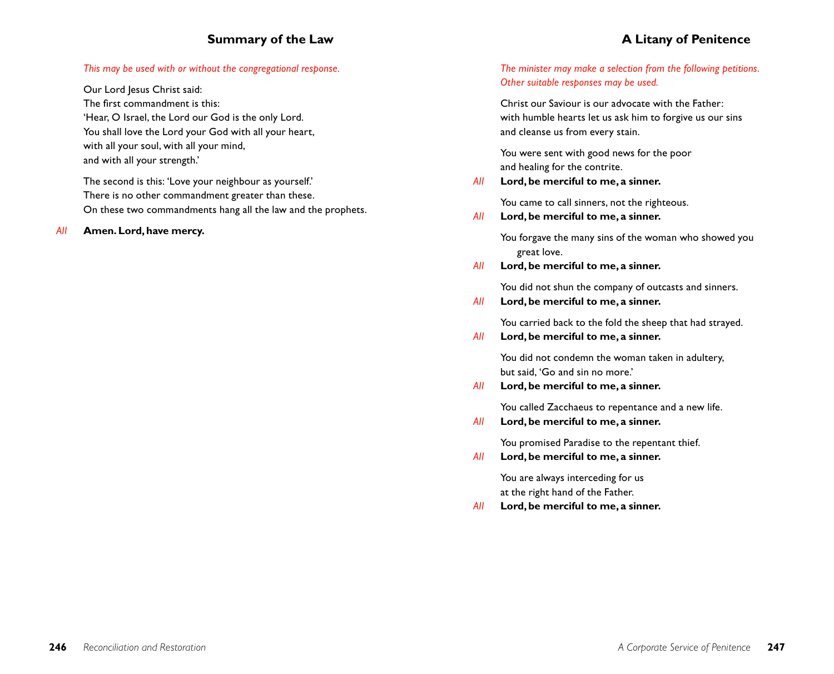## **Summary of the Law**

## **A Litany of Penitence**

#### *This may be used with or without the congregational response.*

Our Lord Jesus Christ said:

The first commandment is this: 'Hear, O Israel, the Lord our God is the only Lord. You shall love the Lord your God with all your heart, with all your soul, with all your mind, and with all your strength.'

The second is this: 'Love your neighbour as yourself.' There is no other commandment greater than these. On these two commandments hang all the law and the prophets.

#### *All* **Amen. Lord, have mercy.**

### *The minister may make a selection from the following petitions. Other suitable responses may be used.*

Christ our Saviour is our advocate with the Father: with humble hearts let us ask him to forgive us our sins and cleanse us from every stain.

You were sent with good news for the poor and healing for the contrite.

*All* **Lord, be merciful to me, a sinner.**

You came to call sinners, not the righteous.

*All* **Lord, be merciful to me, a sinner.**

You forgave the many sins of the woman who showed you great love.

*All* **Lord, be merciful to me, a sinner.**

You did not shun the company of outcasts and sinners.

*All* **Lord, be merciful to me, a sinner.**

You carried back to the fold the sheep that had strayed.

*All* **Lord, be merciful to me, a sinner.**

You did not condemn the woman taken in adultery, but said, 'Go and sin no more.'

*All* **Lord, be merciful to me, a sinner.**

You called Zacchaeus to repentance and a new life.

*All* **Lord, be merciful to me, a sinner.**

You promised Paradise to the repentant thief.

*All* **Lord, be merciful to me, a sinner.**

You are always interceding for us at the right hand of the Father.

*All* **Lord, be merciful to me, a sinner.**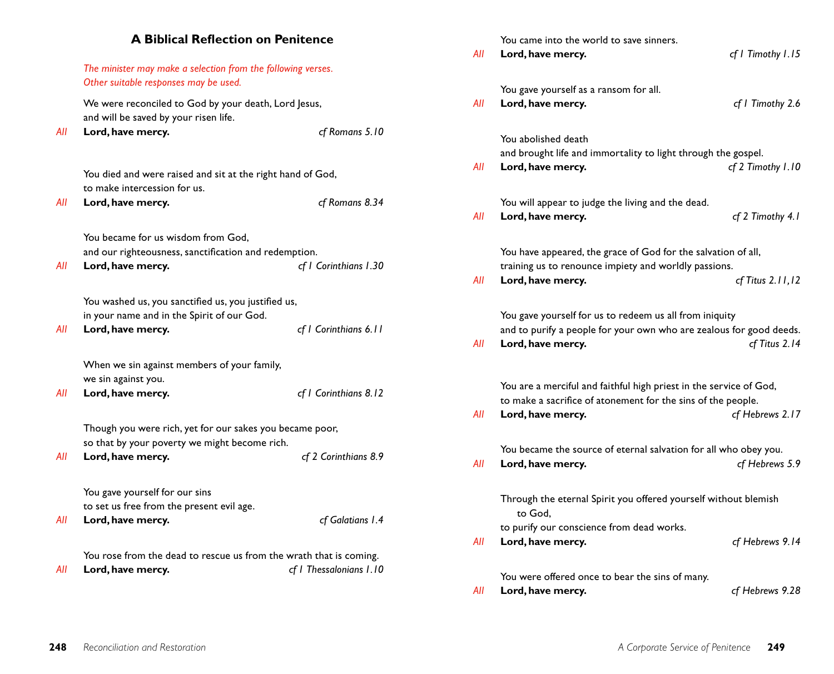## **A Biblical Reflection on Penitence**

| <b>A Biblical Reflection on Penitence</b> |                                                                    | You came into the world to save sinners. |     |                                                                                       |                   |
|-------------------------------------------|--------------------------------------------------------------------|------------------------------------------|-----|---------------------------------------------------------------------------------------|-------------------|
|                                           |                                                                    |                                          | All | Lord, have mercy.                                                                     | cf I Timothy 1.15 |
|                                           | The minister may make a selection from the following verses.       |                                          |     |                                                                                       |                   |
|                                           | Other suitable responses may be used.                              |                                          |     | You gave yourself as a ransom for all.                                                |                   |
|                                           | We were reconciled to God by your death, Lord Jesus,               |                                          | All | Lord, have mercy.                                                                     | cf I Timothy 2.6  |
|                                           | and will be saved by your risen life.                              |                                          |     |                                                                                       |                   |
| All                                       | Lord, have mercy.                                                  | cf Romans 5.10                           |     |                                                                                       |                   |
|                                           |                                                                    |                                          |     | You abolished death                                                                   |                   |
|                                           |                                                                    |                                          |     | and brought life and immortality to light through the gospel.                         |                   |
|                                           | You died and were raised and sit at the right hand of God,         |                                          | All | Lord, have mercy.                                                                     | cf 2 Timothy 1.10 |
|                                           | to make intercession for us.                                       |                                          |     |                                                                                       |                   |
| All                                       | Lord, have mercy.                                                  | cf Romans 8.34                           |     | You will appear to judge the living and the dead.                                     |                   |
|                                           |                                                                    |                                          | All | Lord, have mercy.                                                                     | cf 2 Timothy 4.1  |
|                                           |                                                                    |                                          |     |                                                                                       |                   |
|                                           | You became for us wisdom from God,                                 |                                          |     |                                                                                       |                   |
|                                           | and our righteousness, sanctification and redemption.              |                                          |     | You have appeared, the grace of God for the salvation of all,                         |                   |
| All                                       | Lord, have mercy.                                                  | cf I Corinthians 1.30                    |     | training us to renounce impiety and worldly passions.                                 |                   |
|                                           |                                                                    |                                          | All | Lord, have mercy.                                                                     | cf Titus 2.11,12  |
|                                           | You washed us, you sanctified us, you justified us,                |                                          |     |                                                                                       |                   |
|                                           | in your name and in the Spirit of our God.                         |                                          |     | You gave yourself for us to redeem us all from iniquity                               |                   |
| All                                       | Lord, have mercy.                                                  | cf I Corinthians 6.11                    |     | and to purify a people for your own who are zealous for good deeds.                   |                   |
|                                           |                                                                    |                                          | All | Lord, have mercy.                                                                     | cf Titus 2.14     |
|                                           |                                                                    |                                          |     |                                                                                       |                   |
|                                           | When we sin against members of your family,                        |                                          |     |                                                                                       |                   |
|                                           | we sin against you.                                                |                                          |     | You are a merciful and faithful high priest in the service of God,                    |                   |
| All                                       | Lord, have mercy.                                                  | cf I Corinthians 8.12                    |     | to make a sacrifice of atonement for the sins of the people.                          |                   |
|                                           |                                                                    |                                          | All | Lord, have mercy.                                                                     | cf Hebrews 2.17   |
|                                           | Though you were rich, yet for our sakes you became poor,           |                                          |     |                                                                                       |                   |
|                                           | so that by your poverty we might become rich.                      |                                          |     |                                                                                       |                   |
| All                                       | Lord, have mercy.                                                  | cf 2 Corinthians 8.9                     | All | You became the source of eternal salvation for all who obey you.<br>Lord, have mercy. |                   |
|                                           |                                                                    |                                          |     |                                                                                       | cf Hebrews 5.9    |
|                                           | You gave yourself for our sins                                     |                                          |     |                                                                                       |                   |
|                                           | to set us free from the present evil age.                          |                                          |     | Through the eternal Spirit you offered yourself without blemish                       |                   |
| All                                       | Lord, have mercy.                                                  | cf Galatians 1.4                         |     | to God.                                                                               |                   |
|                                           |                                                                    |                                          |     | to purify our conscience from dead works.                                             |                   |
|                                           |                                                                    |                                          | All | Lord, have mercy.                                                                     | cf Hebrews 9.14   |
|                                           | You rose from the dead to rescue us from the wrath that is coming. |                                          |     |                                                                                       |                   |
| All                                       | Lord, have mercy.                                                  | cf I Thessalonians I.10                  |     | You were offered once to bear the sins of many.                                       |                   |
|                                           |                                                                    |                                          | All | Lord, have mercy.                                                                     | cf Hebrews 9.28   |
|                                           |                                                                    |                                          |     |                                                                                       |                   |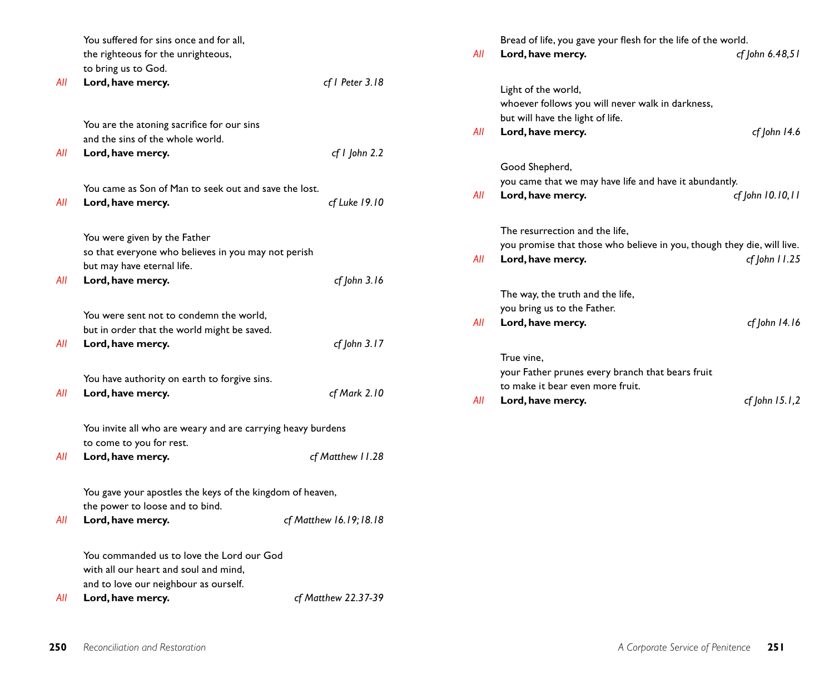|     | You suffered for sins once and for all,<br>the righteous for the unrighteous,<br>to bring us to God.                        |                         |
|-----|-----------------------------------------------------------------------------------------------------------------------------|-------------------------|
| All | Lord, have mercy.                                                                                                           | cf I Peter 3.18         |
|     | You are the atoning sacrifice for our sins<br>and the sins of the whole world.                                              |                         |
| All | Lord, have mercy.                                                                                                           | $cf 1$ John 2.2         |
| All | You came as Son of Man to seek out and save the lost.<br>Lord, have mercy.                                                  | cf Luke 19.10           |
|     | You were given by the Father<br>so that everyone who believes in you may not perish<br>but may have eternal life.           |                         |
| All | Lord, have mercy.                                                                                                           | $cf$ John $3.16$        |
|     | You were sent not to condemn the world.<br>but in order that the world might be saved.                                      |                         |
| All | Lord, have mercy.                                                                                                           | cf John 3.17            |
| All | You have authority on earth to forgive sins.<br>Lord, have mercy.                                                           | cf Mark 2.10            |
|     | You invite all who are weary and are carrying heavy burdens<br>to come to you for rest.                                     |                         |
| All | Lord, have mercy.                                                                                                           | cf Matthew I I.28       |
|     | You gave your apostles the keys of the kingdom of heaven,<br>the power to loose and to bind.                                |                         |
| All | Lord, have mercy.                                                                                                           | cf Matthew 16.19; 18.18 |
|     | You commanded us to love the Lord our God<br>with all our heart and soul and mind,<br>and to love our neighbour as ourself. |                         |
| All | Lord, have mercy.                                                                                                           | cf Matthew 22.37-39     |

|     | Bread of life, you gave your flesh for the life of the world.          |                  |
|-----|------------------------------------------------------------------------|------------------|
| All | Lord, have mercy.                                                      | cf John 6.48,51  |
|     | Light of the world,                                                    |                  |
|     | whoever follows you will never walk in darkness,                       |                  |
| All | but will have the light of life.<br>Lord, have mercy.                  | $cf$ John 14.6   |
|     |                                                                        |                  |
|     | Good Shepherd,                                                         |                  |
|     | you came that we may have life and have it abundantly.                 |                  |
| All | Lord, have mercy.                                                      | cf John 10.10,11 |
|     |                                                                        |                  |
|     | The resurrection and the life.                                         |                  |
|     | you promise that those who believe in you, though they die, will live. |                  |
| All | Lord, have mercy.                                                      | $cf$ John 11.25  |
|     |                                                                        |                  |
|     | The way, the truth and the life,<br>you bring us to the Father.        |                  |
| All | Lord, have mercy.                                                      | cf John 14.16    |
|     |                                                                        |                  |
|     | True vine,                                                             |                  |
|     | your Father prunes every branch that bears fruit                       |                  |
|     | to make it bear even more fruit.                                       |                  |
| All | Lord, have mercy.                                                      | $cf$ John 15.1,2 |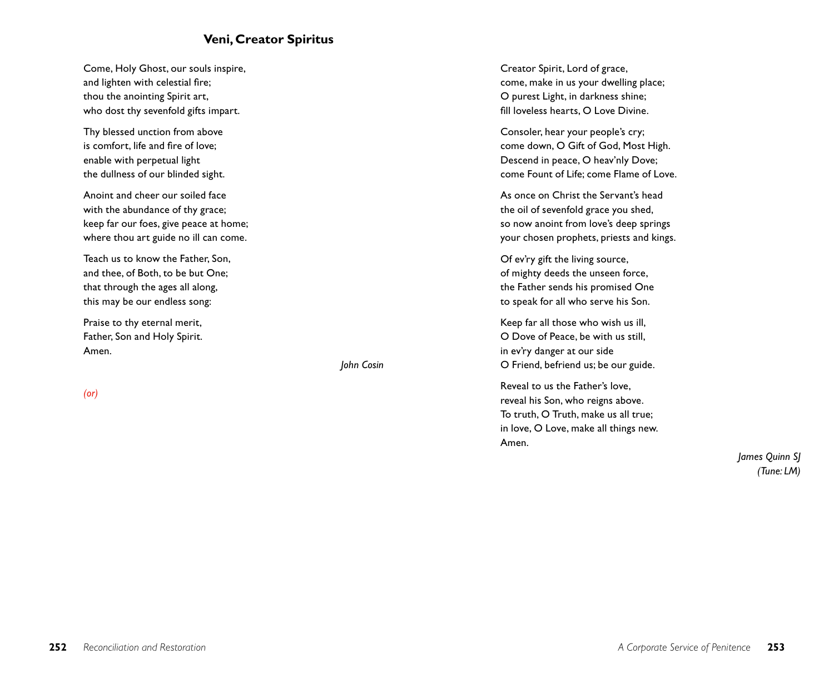## **Veni, Creator Spiritus**

| Come, Holy Ghost, our souls inspire,<br>and lighten with celestial fire;<br>thou the anointing Spirit art,<br>who dost thy sevenfold gifts impart.      |            | Creator Spirit, Lord of grace,<br>come, make in us your dwelling place;<br>O purest Light, in darkness shine;<br>fill loveless hearts, O Love Divine.              |
|---------------------------------------------------------------------------------------------------------------------------------------------------------|------------|--------------------------------------------------------------------------------------------------------------------------------------------------------------------|
| Thy blessed unction from above<br>is comfort, life and fire of love;<br>enable with perpetual light<br>the dullness of our blinded sight.               |            | Consoler, hear your people's cry;<br>come down, O Gift of God, Most High.<br>Descend in peace, O heav'nly Dove;<br>come Fount of Life; come Flame of Love.         |
| Anoint and cheer our soiled face<br>with the abundance of thy grace;<br>keep far our foes, give peace at home;<br>where thou art guide no ill can come. |            | As once on Christ the Servant's head<br>the oil of sevenfold grace you shed,<br>so now anoint from love's deep springs<br>your chosen prophets, priests and kings. |
| Teach us to know the Father, Son,<br>and thee, of Both, to be but One;<br>that through the ages all along,<br>this may be our endless song:             |            | Of ev'ry gift the living source,<br>of mighty deeds the unseen force,<br>the Father sends his promised One<br>to speak for all who serve his Son.                  |
| Praise to thy eternal merit,<br>Father, Son and Holy Spirit.<br>Amen.                                                                                   | John Cosin | Keep far all those who wish us ill,<br>O Dove of Peace, be with us still,<br>in ev'ry danger at our side<br>O Friend, befriend us; be our guide.                   |
| (or)                                                                                                                                                    |            | Reveal to us the Father's love.<br>reveal his Son, who reigns above.                                                                                               |

*James Quinn SJ (Tune: LM)*

To truth, O Truth, make us all true; in love, O Love, make all things new.

Amen.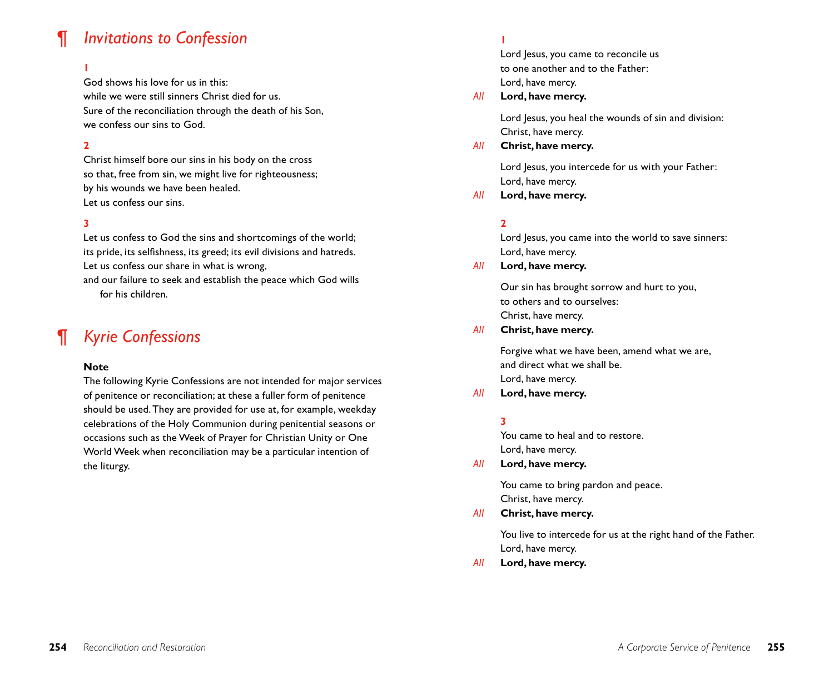# *¶ Invitations to Confession*

### **1**

God shows his love for us in this: while we were still sinners Christ died for us. Sure of the reconciliation through the death of his Son, we confess our sins to God.

### **2**

Christ himself bore our sins in his body on the cross so that, free from sin, we might live for righteousness; by his wounds we have been healed. Let us confess our sins.

### **3**

Let us confess to God the sins and shortcomings of the world; its pride, its selfishness, its greed; its evil divisions and hatreds. Let us confess our share in what is wrong,

and our failure to seek and establish the peace which God wills for his children.

## *¶ Kyrie Confessions*

#### **Note**

The following Kyrie Confessions are not intended for major services of penitence or reconciliation; at these a fuller form of penitence should be used.They are provided for use at, for example, weekday celebrations of the Holy Communion during penitential seasons or occasions such as the Week of Prayer for Christian Unity or One World Week when reconciliation may be a particular intention of the liturgy.

### **1**

Lord Jesus, you came to reconcile us to one another and to the Father: Lord, have mercy.

#### *All* **Lord, have mercy.**

Lord Jesus, you heal the wounds of sin and division: Christ, have mercy.

*All* **Christ, have mercy.**

Lord Jesus, you intercede for us with your Father: Lord, have mercy.

*All* **Lord, have mercy.**

### **2**

Lord Jesus, you came into the world to save sinners: Lord, have mercy.

*All* **Lord, have mercy.**

Our sin has brought sorrow and hurt to you, to others and to ourselves: Christ, have mercy.

#### *All* **Christ, have mercy.**

Forgive what we have been, amend what we are, and direct what we shall be. Lord, have mercy.

*All* **Lord, have mercy.**

### **3**

You came to heal and to restore. Lord, have mercy.

*All* **Lord, have mercy.**

You came to bring pardon and peace. Christ, have mercy.

*All* **Christ, have mercy.**

You live to intercede for us at the right hand of the Father. Lord, have mercy.

*All* **Lord, have mercy.**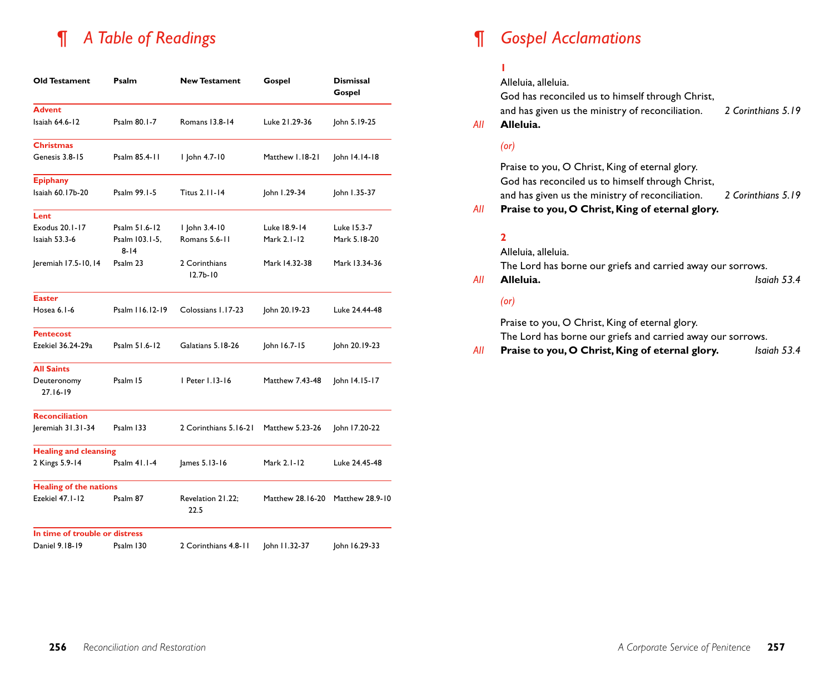# *¶ A Table of Readings*

| <b>Old Testament</b>           | Psalm                      | <b>New Testament</b>        | Gospel           | <b>Dismissal</b><br>Gospel |
|--------------------------------|----------------------------|-----------------------------|------------------|----------------------------|
| <b>Advent</b>                  |                            |                             |                  |                            |
| Isaiah 64.6-12                 | Psalm 80.1-7               | Romans 13.8-14              | Luke 21.29-36    | John 5.19-25               |
| <b>Christmas</b>               |                            |                             |                  |                            |
| Genesis 3.8-15                 | Psalm 85.4-11              | I John 4.7-10               | Matthew 1.18-21  | John 14.14-18              |
| <b>Epiphany</b>                |                            |                             |                  |                            |
| Isaiah 60.17b-20               | Psalm 99.1-5               | Titus 2.11-14               | John 1.29-34     | John 1.35-37               |
| Lent                           |                            |                             |                  |                            |
| Exodus 20.1-17                 | Psalm 51.6-12              | I John 3.4-10               | Luke 18.9-14     | Luke 15.3-7                |
| Isaiah 53.3-6                  | Psalm 103.1-5,<br>$8 - 14$ | Romans 5.6-11               | Mark 2.1-12      | Mark 5.18-20               |
| Jeremiah 17.5-10, 14           | Psalm 23                   | 2 Corinthians<br>$12.7b-10$ | Mark 14.32-38    | Mark 13.34-36              |
| <b>Easter</b>                  |                            |                             |                  |                            |
| Hosea 6.1-6                    | Psalm 116.12-19            | Colossians 1.17-23          | John 20.19-23    | Luke 24.44-48              |
| <b>Pentecost</b>               |                            |                             |                  |                            |
| Ezekiel 36.24-29a              | Psalm 51.6-12              | Galatians 5.18-26           | John 16.7-15     | John 20.19-23              |
| <b>All Saints</b>              |                            |                             |                  |                            |
| Deuteronomy<br>27.16-19        | Psalm 15                   | Peter 1.13-16               | Matthew 7.43-48  | John 14.15-17              |
| <b>Reconciliation</b>          |                            |                             |                  |                            |
| Jeremiah 31.31-34              | Psalm 133                  | 2 Corinthians 5.16-21       | Matthew 5.23-26  | John 17.20-22              |
| <b>Healing and cleansing</b>   |                            |                             |                  |                            |
| 2 Kings 5.9-14                 | Psalm 41.1-4               | James 5.13-16               | Mark 2.1-12      | Luke 24.45-48              |
| <b>Healing of the nations</b>  |                            |                             |                  |                            |
| Ezekiel 47.1-12                | Psalm 87                   | Revelation 21.22;<br>22.5   | Matthew 28.16-20 | Matthew 28.9-10            |
| In time of trouble or distress |                            |                             |                  |                            |
| Daniel 9.18-19                 | Psalm 130                  | 2 Corinthians 4.8-11        | John 11.32-37    | John 16.29-33              |

# *¶ Gospel Acclamations*

## **1**

| All | and has given us the ministry of reconciliation.<br>Alleluia. |                    |
|-----|---------------------------------------------------------------|--------------------|
|     |                                                               | 2 Corinthians 5.19 |
|     | God has reconciled us to himself through Christ,              |                    |
|     | Alleluia, alleluia.                                           |                    |

### *(or)*

| All | Praise to you, O Christ, King of eternal glory.  |                    |
|-----|--------------------------------------------------|--------------------|
|     | and has given us the ministry of reconciliation. | 2 Corinthians 5.19 |
|     | God has reconciled us to himself through Christ, |                    |
|     | Praise to you, O Christ, King of eternal glory.  |                    |

### **2**

Alleluia, alleluia.

The Lord has borne our griefs and carried away our sorrows.

*All* **Alleluia.** *Isaiah 53.4* 

## *(or)*

Praise to you, O Christ, King of eternal glory. The Lord has borne our griefs and carried away our sorrows.

*All* **Praise to you, O Christ, King of eternal glory.** *Isaiah 53.4*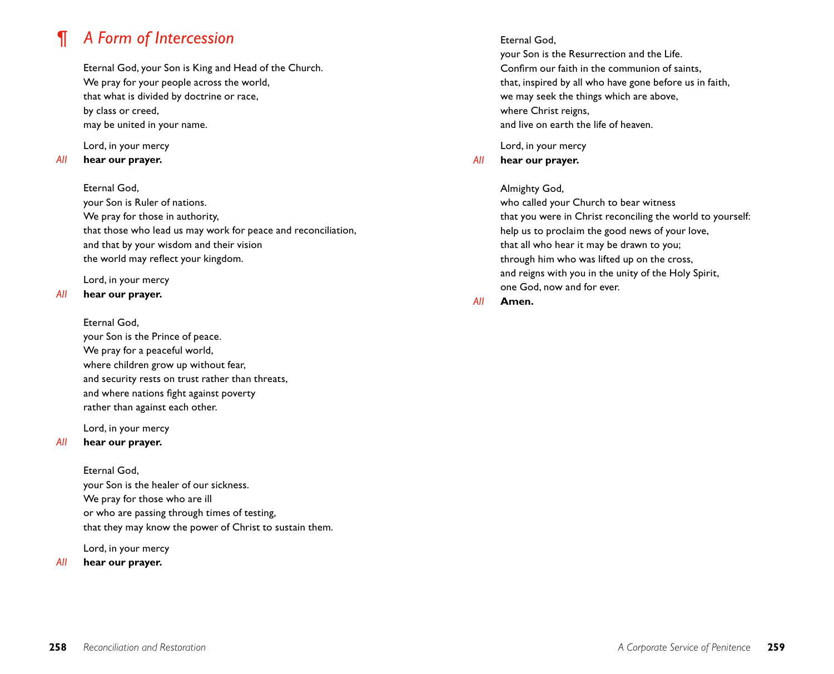# *¶ A Form of Intercession*

Eternal God, your Son is King and Head of the Church. We pray for your people across the world, that what is divided by doctrine or race, by class or creed, may be united in your name.

Lord, in your mercy

### *All* **hear our prayer.**

#### Eternal God,

your Son is Ruler of nations. We pray for those in authority, that those who lead us may work for peace and reconciliation, and that by your wisdom and their vision the world may reflect your kingdom.

Lord, in your mercy

#### *All* **hear our prayer.**

#### Eternal God,

your Son is the Prince of peace. We pray for a peaceful world, where children grow up without fear, and security rests on trust rather than threats, and where nations fight against poverty rather than against each other.

Lord, in your mercy

### *All* **hear our prayer.**

#### Eternal God,

your Son is the healer of our sickness. We pray for those who are ill or who are passing through times of testing, that they may know the power of Christ to sustain them.

Lord, in your mercy

### *All* **hear our prayer.**

### Eternal God,

your Son is the Resurrection and the Life. Confirm our faith in the communion of saints, that, inspired by all who have gone before us in faith, we may seek the things which are above, where Christ reigns, and live on earth the life of heaven.

Lord, in your mercy

*All* **hear our prayer.**

### Almighty God,

who called your Church to bear witness that you were in Christ reconciling the world to yourself: help us to proclaim the good news of your love, that all who hear it may be drawn to you; through him who was lifted up on the cross, and reigns with you in the unity of the Holy Spirit, one God, now and for ever.

*All* **Amen.**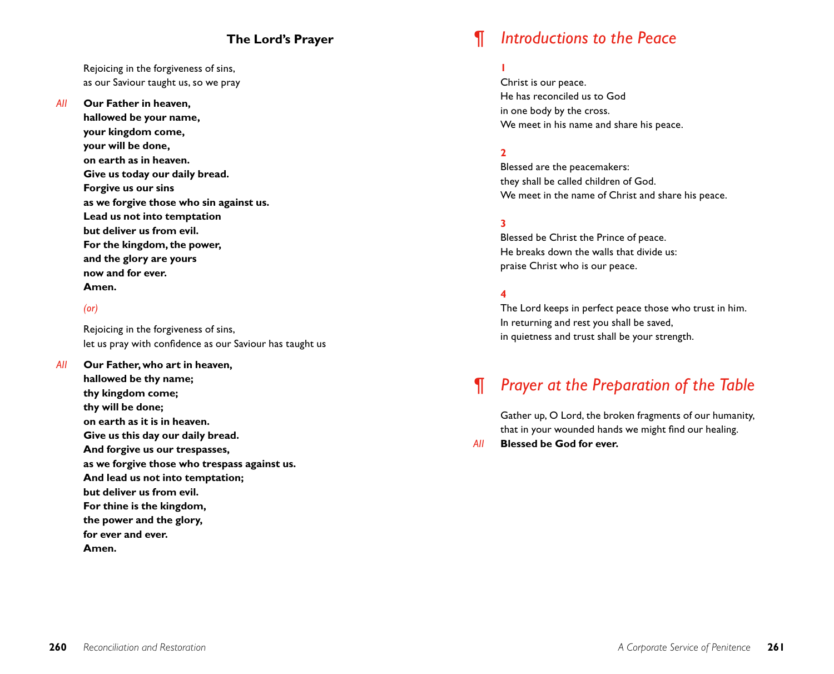## **The Lord's Prayer**

Rejoicing in the forgiveness of sins, as our Saviour taught us, so we pray

#### *All* **Our Father in heaven,**

**hallowed be your name, your kingdom come, your will be done, on earth as in heaven. Give us today our daily bread. Forgive us our sins as we forgive those who sin against us. Lead us not into temptation but deliver us from evil. For the kingdom, the power, and the glory are yours now and for ever. Amen.**

### *(or)*

Rejoicing in the forgiveness of sins, let us pray with confidence as our Saviour has taught us

## *All* **Our Father, who art in heaven,**

**hallowed be thy name; thy kingdom come; thy will be done; on earth as it is in heaven. Give us this day our daily bread. And forgive us our trespasses, as we forgive those who trespass against us. And lead us not into temptation; but deliver us from evil. For thine is the kingdom, the power and the glory, for ever and ever. Amen.**

## **Introductions to the Peace**

## **1**

Christ is our peace. He has reconciled us to God in one body by the cross. We meet in his name and share his peace.

### **2**

Blessed are the peacemakers: they shall be called children of God. We meet in the name of Christ and share his peace.

### **3**

Blessed be Christ the Prince of peace. He breaks down the walls that divide us: praise Christ who is our peace.

### **4**

The Lord keeps in perfect peace those who trust in him. In returning and rest you shall be saved, in quietness and trust shall be your strength.

## *¶ Prayer at the Preparation of the Table*

Gather up, O Lord, the broken fragments of our humanity, that in your wounded hands we might find our healing.

*All* **Blessed be God for ever.**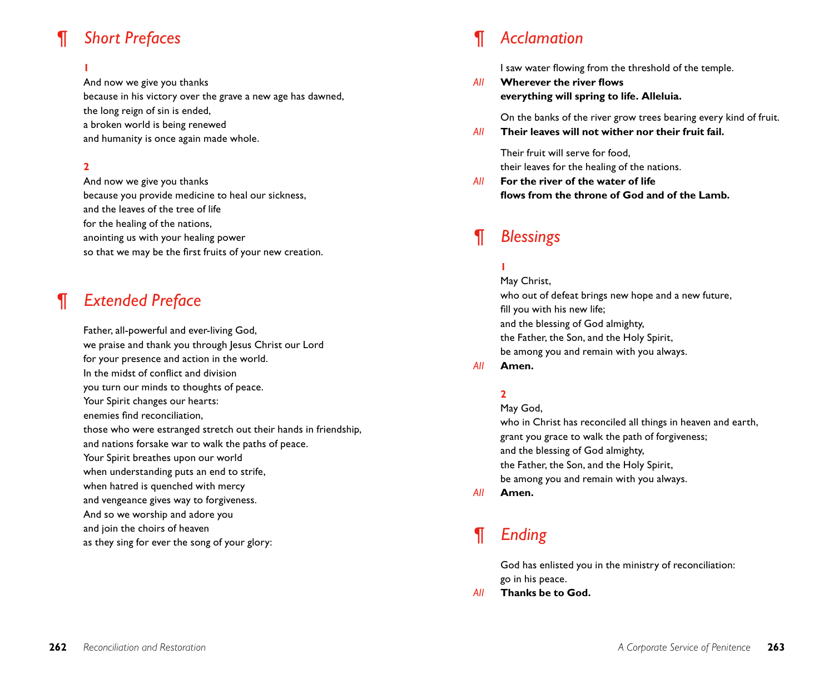# *¶ Short Prefaces*

### **1**

And now we give you thanks because in his victory over the grave a new age has dawned, the long reign of sin is ended, a broken world is being renewed and humanity is once again made whole.

### **2**

And now we give you thanks because you provide medicine to heal our sickness, and the leaves of the tree of life for the healing of the nations, anointing us with your healing power so that we may be the first fruits of your new creation.

## *¶ Extended Preface*

Father, all-powerful and ever-living God, we praise and thank you through Jesus Christ our Lord for your presence and action in the world. In the midst of conflict and division you turn our minds to thoughts of peace. Your Spirit changes our hearts: enemies find reconciliation, those who were estranged stretch out their hands in friendship, and nations forsake war to walk the paths of peace. Your Spirit breathes upon our world when understanding puts an end to strife, when hatred is quenched with mercy and vengeance gives way to forgiveness. And so we worship and adore you and join the choirs of heaven as they sing for ever the song of your glory:

## *¶ Acclamation*

I saw water flowing from the threshold of the temple.

*All* **Wherever the river flows everything will spring to life. Alleluia.**

On the banks of the river grow trees bearing every kind of fruit.

*All* **Their leaves will not wither nor their fruit fail.**

Their fruit will serve for food, their leaves for the healing of the nations.

*All* **For the river of the water of life flows from the throne of God and of the Lamb.**

## *¶ Blessings*

### **1**

May Christ, who out of defeat brings new hope and a new future, fill you with his new life; and the blessing of God almighty, the Father, the Son, and the Holy Spirit, be among you and remain with you always.

*All* **Amen.**

## **2**

May God, who in Christ has reconciled all things in heaven and earth, grant you grace to walk the path of forgiveness; and the blessing of God almighty, the Father, the Son, and the Holy Spirit, be among you and remain with you always. *All* **Amen.**

# *¶ Ending*

God has enlisted you in the ministry of reconciliation: go in his peace.

*All* **Thanks be to God.**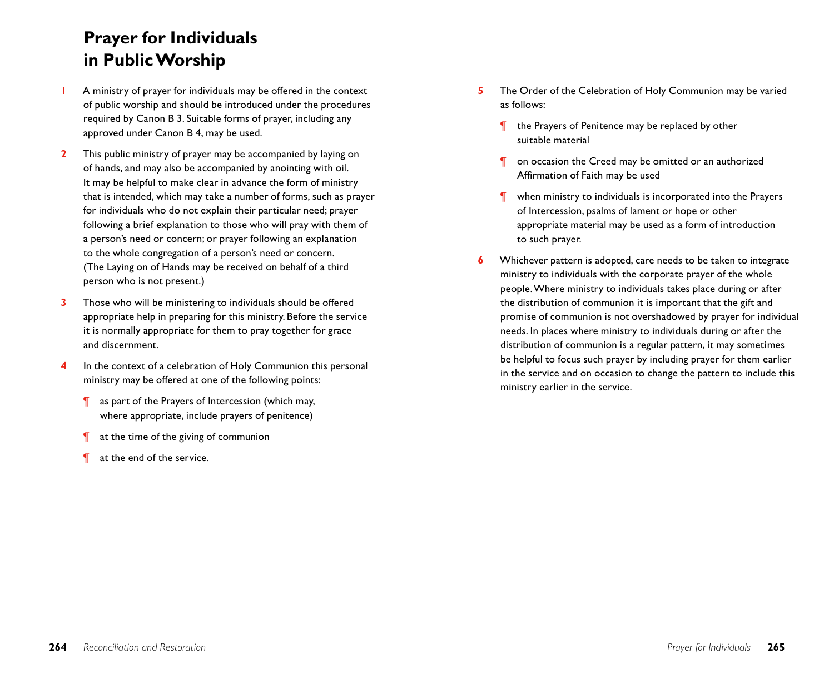# **Prayer for Individuals in Public Worship**

- **1** A ministry of prayer for individuals may be offered in the context of public worship and should be introduced under the procedures required by Canon B 3. Suitable forms of prayer, including any approved under Canon B 4, may be used.
- **2** This public ministry of prayer may be accompanied by laying on of hands, and may also be accompanied by anointing with oil. It may be helpful to make clear in advance the form of ministry that is intended, which may take a number of forms, such as prayer for individuals who do not explain their particular need; prayer following a brief explanation to those who will pray with them of a person's need or concern; or prayer following an explanation to the whole congregation of a person's need or concern. (The Laying on of Hands may be received on behalf of a third person who is not present.)
- **3** Those who will be ministering to individuals should be offered appropriate help in preparing for this ministry. Before the service it is normally appropriate for them to pray together for grace and discernment.
- **4** In the context of a celebration of Holy Communion this personal ministry may be offered at one of the following points:
	- ¶ as part of the Prayers of Intercession (which may, where appropriate, include prayers of penitence)
	- ¶ at the time of the giving of communion
	- ¶ at the end of the service.
- **5** The Order of the Celebration of Holy Communion may be varied as follows:
	- T the Prayers of Penitence may be replaced by other suitable material
	- **T** on occasion the Creed may be omitted or an authorized Affirmation of Faith may be used
	- when ministry to individuals is incorporated into the Prayers of Intercession, psalms of lament or hope or other appropriate material may be used as a form of introduction to such prayer.
- **6** Whichever pattern is adopted, care needs to be taken to integrate ministry to individuals with the corporate prayer of the whole people.Where ministry to individuals takes place during or after the distribution of communion it is important that the gift and promise of communion is not overshadowed by prayer for individual needs. In places where ministry to individuals during or after the distribution of communion is a regular pattern, it may sometimes be helpful to focus such prayer by including prayer for them earlier in the service and on occasion to change the pattern to include this ministry earlier in the service.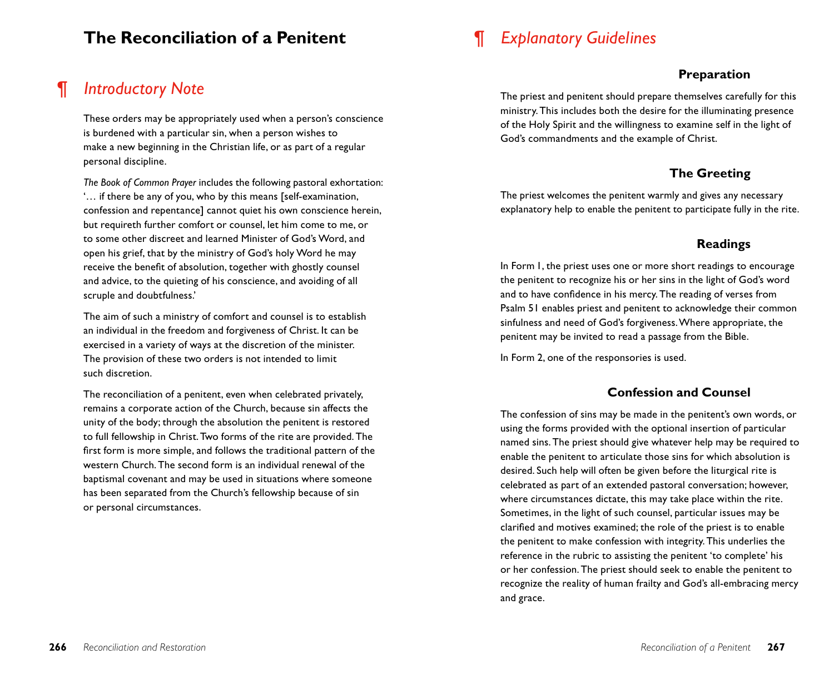## **The Reconciliation of a Penitent**

## *¶ Introductory Note*

These orders may be appropriately used when a person's conscience is burdened with a particular sin, when a person wishes to make a new beginning in the Christian life, or as part of a regular personal discipline.

*The Book of Common Prayer* includes the following pastoral exhortation: '… if there be any of you, who by this means [self-examination, confession and repentance] cannot quiet his own conscience herein, but requireth further comfort or counsel, let him come to me, or to some other discreet and learned Minister of God's Word, and open his grief, that by the ministry of God's holy Word he may receive the benefit of absolution, together with ghostly counsel and advice, to the quieting of his conscience, and avoiding of all scruple and doubtfulness.'

The aim of such a ministry of comfort and counsel is to establish an individual in the freedom and forgiveness of Christ. It can be exercised in a variety of ways at the discretion of the minister. The provision of these two orders is not intended to limit such discretion.

The reconciliation of a penitent, even when celebrated privately, remains a corporate action of the Church, because sin affects the unity of the body; through the absolution the penitent is restored to full fellowship in Christ. Two forms of the rite are provided. The first form is more simple, and follows the traditional pattern of the western Church. The second form is an individual renewal of the baptismal covenant and may be used in situations where someone has been separated from the Church's fellowship because of sin or personal circumstances.

# *Explanatory Guidelines*

## **Preparation**

The priest and penitent should prepare themselves carefully for this ministry. This includes both the desire for the illuminating presence of the Holy Spirit and the willingness to examine self in the light of God's commandments and the example of Christ.

## **The Greeting**

The priest welcomes the penitent warmly and gives any necessary explanatory help to enable the penitent to participate fully in the rite.

## **Readings**

In Form 1, the priest uses one or more short readings to encourage the penitent to recognize his or her sins in the light of God's word and to have confidence in his mercy. The reading of verses from Psalm 51 enables priest and penitent to acknowledge their common sinfulness and need of God's forgiveness.Where appropriate, the penitent may be invited to read a passage from the Bible.

In Form 2, one of the responsories is used.

### **Confession and Counsel**

The confession of sins may be made in the penitent's own words, or using the forms provided with the optional insertion of particular named sins. The priest should give whatever help may be required to enable the penitent to articulate those sins for which absolution is desired. Such help will often be given before the liturgical rite is celebrated as part of an extended pastoral conversation; however, where circumstances dictate, this may take place within the rite. Sometimes, in the light of such counsel, particular issues may be clarified and motives examined; the role of the priest is to enable the penitent to make confession with integrity. This underlies the reference in the rubric to assisting the penitent 'to complete' his or her confession. The priest should seek to enable the penitent to recognize the reality of human frailty and God's all-embracing mercy and grace.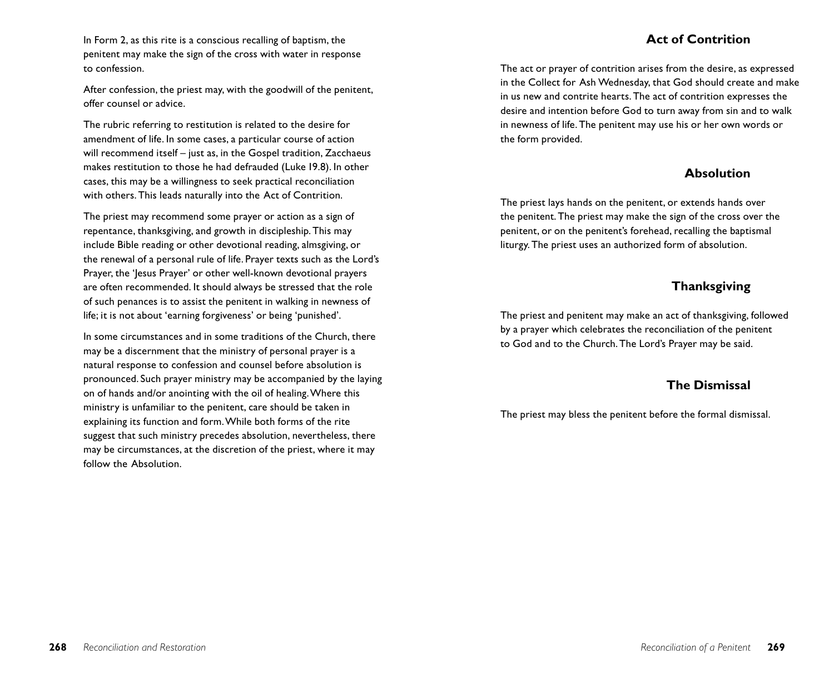In Form 2, as this rite is a conscious recalling of baptism, the penitent may make the sign of the cross with water in response to confession.

After confession, the priest may, with the goodwill of the penitent, offer counsel or advice.

The rubric referring to restitution is related to the desire for amendment of life. In some cases, a particular course of action will recommend itself – just as, in the Gospel tradition, Zacchaeus makes restitution to those he had defrauded (Luke 19.8). In other cases, this may be a willingness to seek practical reconciliation with others. This leads naturally into the Act of Contrition.

The priest may recommend some prayer or action as a sign of repentance, thanksgiving, and growth in discipleship. This may include Bible reading or other devotional reading, almsgiving, or the renewal of a personal rule of life. Prayer texts such as the Lord's Prayer, the 'Jesus Prayer' or other well-known devotional prayers are often recommended. It should always be stressed that the role of such penances is to assist the penitent in walking in newness of life; it is not about 'earning forgiveness' or being 'punished'.

In some circumstances and in some traditions of the Church, there may be a discernment that the ministry of personal prayer is a natural response to confession and counsel before absolution is pronounced. Such prayer ministry may be accompanied by the laying on of hands and/or anointing with the oil of healing.Where this ministry is unfamiliar to the penitent, care should be taken in explaining its function and form.While both forms of the rite suggest that such ministry precedes absolution, nevertheless, there may be circumstances, at the discretion of the priest, where it may follow the Absolution.

## **Act of Contrition**

The act or prayer of contrition arises from the desire, as expressed in the Collect for Ash Wednesday, that God should create and make in us new and contrite hearts. The act of contrition expresses the desire and intention before God to turn away from sin and to walk in newness of life. The penitent may use his or her own words or the form provided.

## **Absolution**

The priest lays hands on the penitent, or extends hands over the penitent. The priest may make the sign of the cross over the penitent, or on the penitent's forehead, recalling the baptismal liturgy. The priest uses an authorized form of absolution.

## **Thanksgiving**

The priest and penitent may make an act of thanksgiving, followed by a prayer which celebrates the reconciliation of the penitent to God and to the Church. The Lord's Prayer may be said.

## **The Dismissal**

The priest may bless the penitent before the formal dismissal.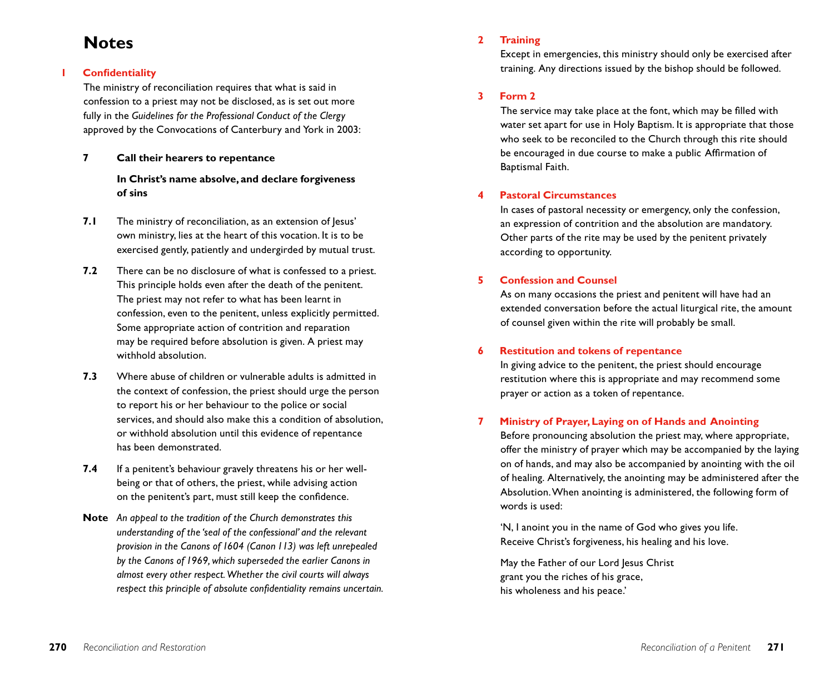## **Notes**

### **1 Confidentiality**

The ministry of reconciliation requires that what is said in confession to a priest may not be disclosed, as is set out more fully in the *Guidelines for the Professional Conduct of the Clergy* approved by the Convocations of Canterbury and York in 2003:

**7 Call their hearers to repentance**

### **In Christ's name absolve, and declare forgiveness of sins**

- **7.1** The ministry of reconciliation, as an extension of lesus' own ministry, lies at the heart of this vocation. It is to be exercised gently, patiently and undergirded by mutual trust.
- **7.2** There can be no disclosure of what is confessed to a priest. This principle holds even after the death of the penitent. The priest may not refer to what has been learnt in confession, even to the penitent, unless explicitly permitted. Some appropriate action of contrition and reparation may be required before absolution is given. A priest may withhold absolution.
- **7.3** Where abuse of children or vulnerable adults is admitted in the context of confession, the priest should urge the person to report his or her behaviour to the police or social services, and should also make this a condition of absolution, or withhold absolution until this evidence of repentance has been demonstrated.
- **7.4** If a penitent's behaviour gravely threatens his or her wellbeing or that of others, the priest, while advising action on the penitent's part, must still keep the confidence.
- **Note** *An appeal to the tradition of the Church demonstrates this understanding of the 'seal of the confessional' and the relevant provision in the Canons of 1604 (Canon 113) was left unrepealed by the Canons of 1969, which superseded the earlier Canons in almost every other respect. Whether the civil courts will always respect this principle of absolute confidentiality remains uncertain.*

### **2 Training**

Except in emergencies, this ministry should only be exercised after training. Any directions issued by the bishop should be followed.

### **3 Form 2**

The service may take place at the font, which may be filled with water set apart for use in Holy Baptism. It is appropriate that those who seek to be reconciled to the Church through this rite should be encouraged in due course to make a public Affirmation of Baptismal Faith.

### **4 Pastoral Circumstances**

In cases of pastoral necessity or emergency, only the confession, an expression of contrition and the absolution are mandatory. Other parts of the rite may be used by the penitent privately according to opportunity.

### **5 Confession and Counsel**

As on many occasions the priest and penitent will have had an extended conversation before the actual liturgical rite, the amount of counsel given within the rite will probably be small.

### **6 Restitution and tokens of repentance**

In giving advice to the penitent, the priest should encourage restitution where this is appropriate and may recommend some prayer or action as a token of repentance.

### **7 Ministry of Prayer, Laying on of Hands and Anointing**

Before pronouncing absolution the priest may, where appropriate, offer the ministry of prayer which may be accompanied by the laying on of hands, and may also be accompanied by anointing with the oil of healing. Alternatively, the anointing may be administered after the Absolution.When anointing is administered, the following form of words is used:

'N, I anoint you in the name of God who gives you life. Receive Christ's forgiveness, his healing and his love.

May the Father of our Lord Jesus Christ grant you the riches of his grace, his wholeness and his peace.'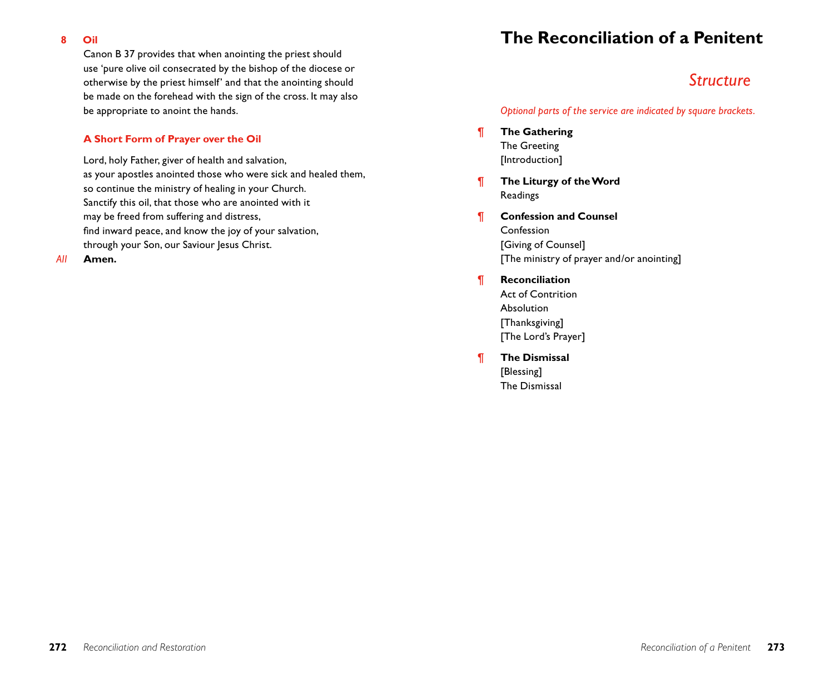**8 Oil**

Canon B 37 provides that when anointing the priest should use 'pure olive oil consecrated by the bishop of the diocese or otherwise by the priest himself' and that the anointing should be made on the forehead with the sign of the cross. It may also be appropriate to anoint the hands.

### **A Short Form of Prayer over the Oil**

Lord, holy Father, giver of health and salvation, as your apostles anointed those who were sick and healed them, so continue the ministry of healing in your Church. Sanctify this oil, that those who are anointed with it may be freed from suffering and distress, find inward peace, and know the joy of your salvation, through your Son, our Saviour Jesus Christ.



## **The Reconciliation of a Penitent**

## *Structure*

### *Optional parts of the service are indicated by square brackets.*

- ¶ **The Gathering** The Greeting [Introduction]
- ¶ **The Liturgy of the Word** Readings
- ¶ **Confession and Counsel** Confession [Giving of Counsel] [The ministry of prayer and/or anointing]
- ¶ **Reconciliation** Act of Contrition **Absolution** [Thanksgiving] [The Lord's Prayer]
- ¶ **The Dismissal** [Blessing] The Dismissal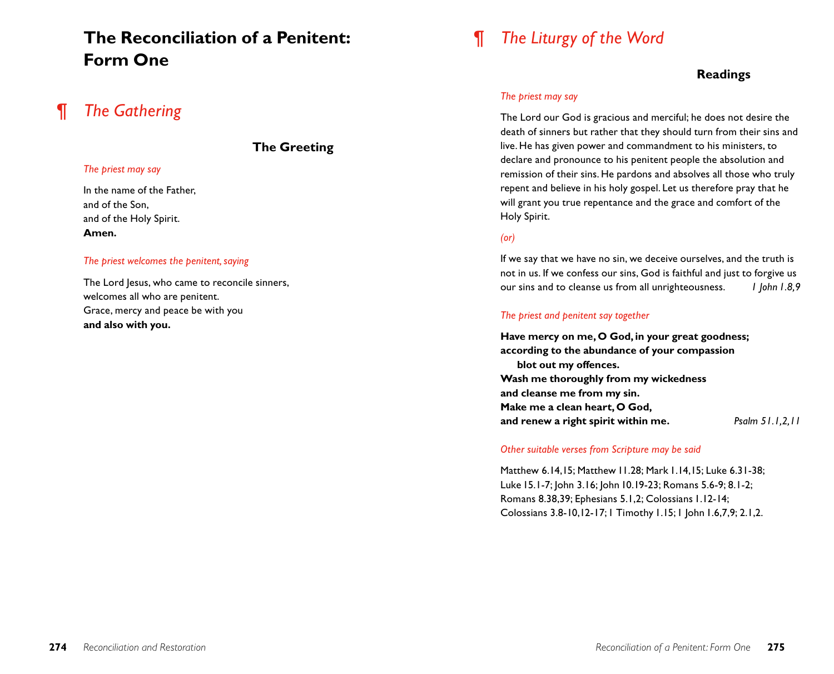# **The Reconciliation of a Penitent: Form One**

## ¶ *The Gathering*

## **The Greeting**

### *The priest may say*

In the name of the Father, and of the Son, and of the Holy Spirit. **Amen.**

#### *The priest welcomes the penitent, saying*

The Lord Jesus, who came to reconcile sinners, welcomes all who are penitent. Grace, mercy and peace be with you **and also with you.**

## ¶ *The Liturgy of the Word*

## **Readings**

### *The priest may say*

The Lord our God is gracious and merciful; he does not desire the death of sinners but rather that they should turn from their sins and live. He has given power and commandment to his ministers, to declare and pronounce to his penitent people the absolution and remission of their sins. He pardons and absolves all those who truly repent and believe in his holy gospel. Let us therefore pray that he will grant you true repentance and the grace and comfort of the Holy Spirit.

### *(or)*

If we say that we have no sin, we deceive ourselves, and the truth is not in us. If we confess our sins, God is faithful and just to forgive us our sins and to cleanse us from all unrighteousness. *1 John 1.8,9*

### *The priest and penitent say together*

**Have mercy on me, O God, in your great goodness; according to the abundance of your compassion blot out my offences. Wash me thoroughly from my wickedness and cleanse me from my sin. Make me a clean heart, O God, and renew a right spirit within me.** *Psalm 51.1,2,11*

#### *Other suitable verses from Scripture may be said*

Matthew 6.14,15; Matthew 11.28; Mark 1.14,15; Luke 6.31-38; Luke 15.1-7; John 3.16; John 10.19-23; Romans 5.6-9; 8.1-2; Romans 8.38,39; Ephesians 5.1,2; Colossians 1.12-14; Colossians 3.8-10,12-17;1 Timothy 1.15;1 John 1.6,7,9; 2.1,2.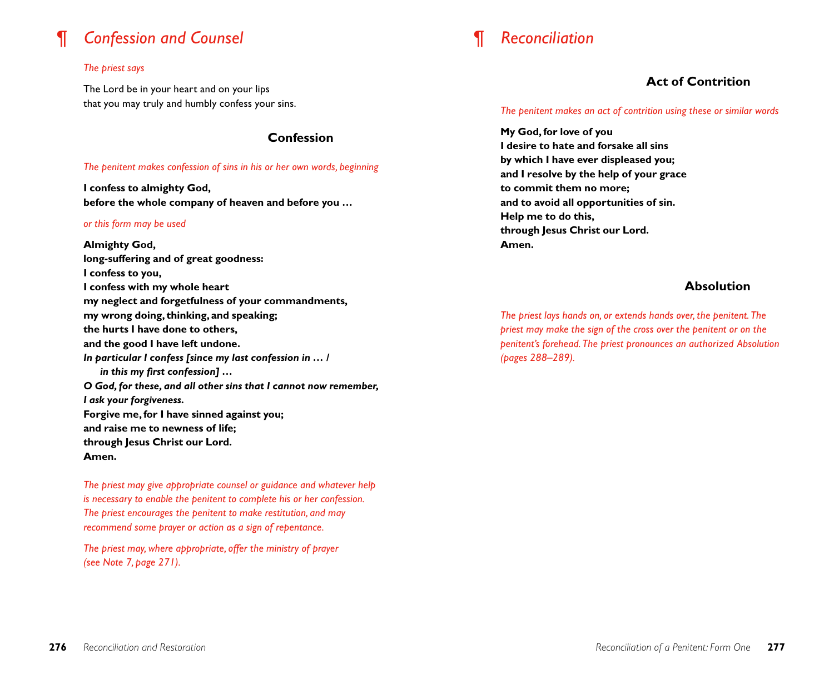## ¶ *Confession and Counsel*

### *The priest says*

The Lord be in your heart and on your lips that you may truly and humbly confess your sins.

### **Confession**

### *The penitent makes confession of sins in his or her own words, beginning*

**I confess to almighty God, before the whole company of heaven and before you …** 

#### *or this form may be used*

**Almighty God, long-suffering and of great goodness: I confess to you, I confess with my whole heart my neglect and forgetfulness of your commandments, my wrong doing, thinking, and speaking; the hurts I have done to others, and the good I have left undone.** *In particular I confess [since my last confession in … / in this my first confession] … O God, for these, and all other sins that I cannot now remember, I ask your forgiveness.* **Forgive me, for I have sinned against you; and raise me to newness of life; through Jesus Christ our Lord. Amen.**

*The priest may give appropriate counsel or guidance and whatever help is necessary to enable the penitent to complete his or her confession. The priest encourages the penitent to make restitution, and may recommend some prayer or action as a sign of repentance.*

*The priest may, where appropriate, offer the ministry of prayer (see Note 7, page 271).*

## ¶ *Reconciliation*

## **Act of Contrition**

#### *The penitent makes an act of contrition using these or similar words*

**My God, for love of you I desire to hate and forsake all sins by which I have ever displeased you; and I resolve by the help of your grace to commit them no more; and to avoid all opportunities of sin. Help me to do this, through Jesus Christ our Lord. Amen.**

## **Absolution**

*The priest lays hands on, or extends hands over, the penitent. The priest may make the sign of the cross over the penitent or on the penitent's forehead. The priest pronounces an authorized Absolution (pages 288–289).*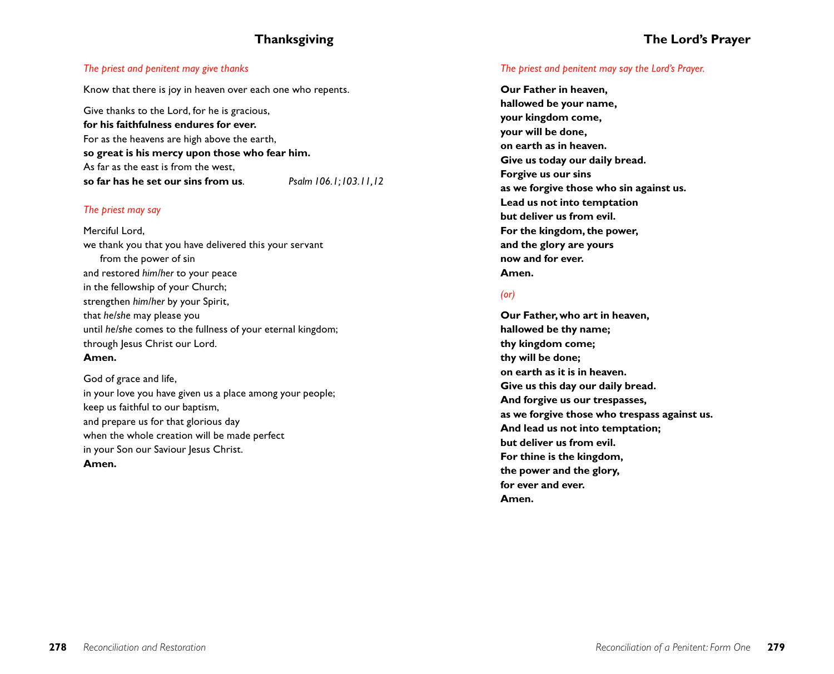## **Thanksgiving**

#### *The priest and penitent may give thanks*

Know that there is joy in heaven over each one who repents.

Give thanks to the Lord, for he is gracious, **for his faithfulness endures for ever.** For as the heavens are high above the earth, **so great is his mercy upon those who fear him.** As far as the east is from the west, **so far has he set our sins from us**. *Psalm 106.1;103.11,12*

### *The priest may say*

Merciful Lord, we thank you that you have delivered this your servant from the power of sin and restored *him/her* to your peace in the fellowship of your Church; strengthen *him/her* by your Spirit, that *he/she* may please you until *he/she* comes to the fullness of your eternal kingdom; through Jesus Christ our Lord. **Amen.**

God of grace and life, in your love you have given us a place among your people; keep us faithful to our baptism, and prepare us for that glorious day when the whole creation will be made perfect in your Son our Saviour Jesus Christ. **Amen.**

### *The priest and penitent may say the Lord's Prayer.*

**Our Father in heaven, hallowed be your name, your kingdom come, your will be done, on earth as in heaven. Give us today our daily bread. Forgive us our sins as we forgive those who sin against us. Lead us not into temptation but deliver us from evil. For the kingdom, the power, and the glory are yours now and for ever. Amen.**

## *(or)*

**Our Father, who art in heaven, hallowed be thy name; thy kingdom come; thy will be done; on earth as it is in heaven. Give us this day our daily bread. And forgive us our trespasses, as we forgive those who trespass against us. And lead us not into temptation; but deliver us from evil. For thine is the kingdom, the power and the glory, for ever and ever. Amen.**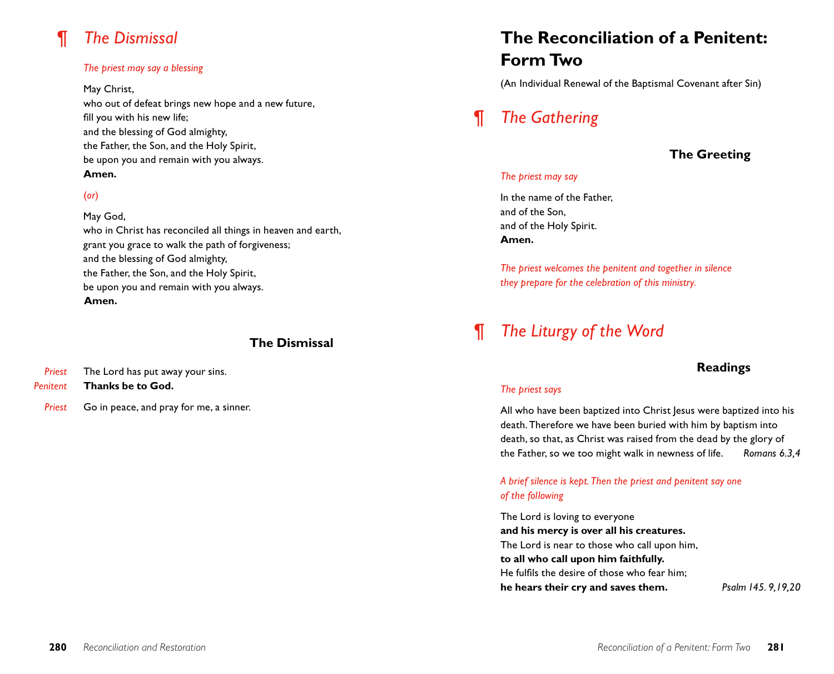# *¶ The Dismissal*

### *The priest may say a blessing*

May Christ, who out of defeat brings new hope and a new future, fill you with his new life; and the blessing of God almighty, the Father, the Son, and the Holy Spirit, be upon you and remain with you always. **Amen.**

## (*or*)

### May God,

who in Christ has reconciled all things in heaven and earth, grant you grace to walk the path of forgiveness; and the blessing of God almighty, the Father, the Son, and the Holy Spirit, be upon you and remain with you always. **Amen.**

## **The Dismissal**

*Priest* The Lord has put away your sins. *Penitent* **Thanks be to God.**

*Priest* Go in peace, and pray for me, a sinner.

# **The Reconciliation of a Penitent: Form Two**

(An Individual Renewal of the Baptismal Covenant after Sin)

# ¶ *The Gathering*

## **The Greeting**

### *The priest may say*

In the name of the Father, and of the Son, and of the Holy Spirit. **Amen.**

*The priest welcomes the penitent and together in silence they prepare for the celebration of this ministry.*

# *¶ The Liturgy of the Word*

## **Readings**

### *The priest says*

All who have been baptized into Christ Jesus were baptized into his death. Therefore we have been buried with him by baptism into death, so that, as Christ was raised from the dead by the glory of the Father, so we too might walk in newness of life. *Romans 6.3,4*

*A brief silence is kept. Then the priest and penitent say one of the following*

The Lord is loving to everyone **and his mercy is over all his creatures.** The Lord is near to those who call upon him, **to all who call upon him faithfully.** He fulfils the desire of those who fear him; **he hears their cry and saves them.** *Psalm 145. 9,19,20*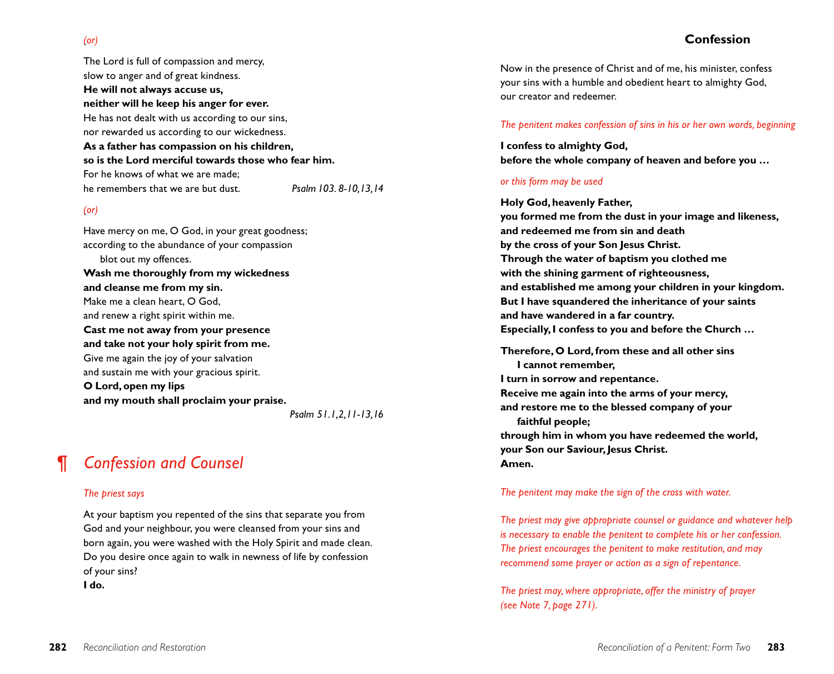### **Confession**

The Lord is full of compassion and mercy, slow to anger and of great kindness. **He will not always accuse us, neither will he keep his anger for ever.** He has not dealt with us according to our sins, nor rewarded us according to our wickedness. **As a father has compassion on his children, so is the Lord merciful towards those who fear him.** For he knows of what we are made; he remembers that we are but dust. *Psalm 103. 8-10,13,14*

#### *(or)* `

Have mercy on me, O God, in your great goodness; according to the abundance of your compassion blot out my offences. **Wash me thoroughly from my wickedness and cleanse me from my sin.** Make me a clean heart, O God, and renew a right spirit within me. **Cast me not away from your presence and take not your holy spirit from me.** Give me again the joy of your salvation and sustain me with your gracious spirit. **O Lord, open my lips and my mouth shall proclaim your praise.**

*Psalm 51.1,2,11-13,16*

# *¶ Confession and Counsel*

### *The priest says*

At your baptism you repented of the sins that separate you from God and your neighbour, you were cleansed from your sins and born again, you were washed with the Holy Spirit and made clean. Do you desire once again to walk in newness of life by confession of your sins? **I do.**

Now in the presence of Christ and of me, his minister, confess your sins with a humble and obedient heart to almighty God, our creator and redeemer.

### *The penitent makes confession of sins in his or her own words, beginning*

**I confess to almighty God, before the whole company of heaven and before you …** 

### *or this form may be used*

**Holy God, heavenly Father, you formed me from the dust in your image and likeness, and redeemed me from sin and death by the cross of your Son Jesus Christ. Through the water of baptism you clothed me with the shining garment of righteousness, and established me among your children in your kingdom. But I have squandered the inheritance of your saints and have wandered in a far country. Especially,I confess to you and before the Church …** 

**Therefore, O Lord, from these and all other sins I cannot remember, I turn in sorrow and repentance. Receive me again into the arms of your mercy, and restore me to the blessed company of your faithful people; through him in whom you have redeemed the world, your Son our Saviour, Jesus Christ. Amen.**

*The penitent may make the sign of the cross with water.*

*The priest may give appropriate counsel or guidance and whatever help is necessary to enable the penitent to complete his or her confession. The priest encourages the penitent to make restitution, and may recommend some prayer or action as a sign of repentance.*

*The priest may, where appropriate, offer the ministry of prayer (see Note 7, page 271).*

## *(or)* `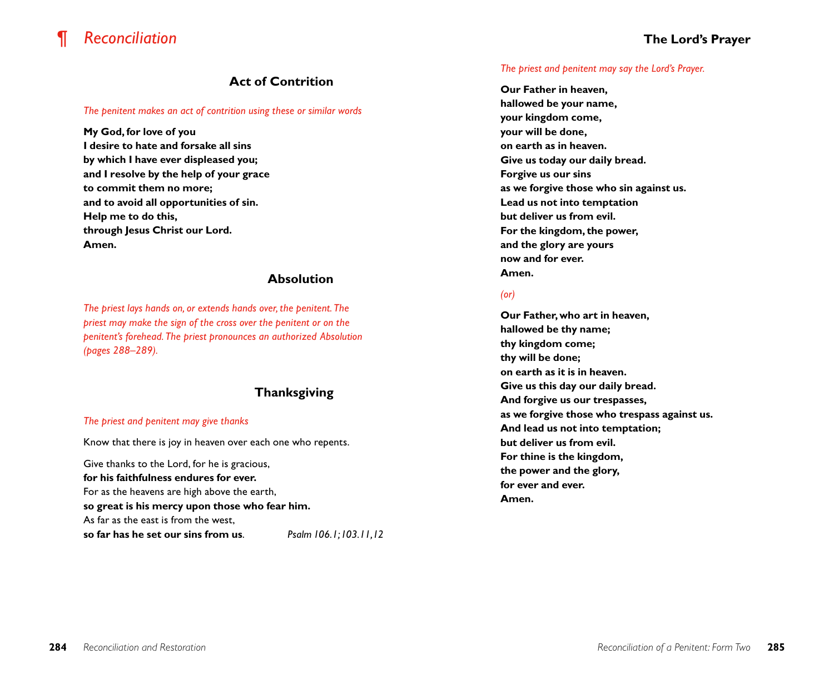## **Act of Contrition**

#### *The penitent makes an act of contrition using these or similar words*

**My God, for love of you I desire to hate and forsake all sins by which I have ever displeased you; and I resolve by the help of your grace to commit them no more; and to avoid all opportunities of sin. Help me to do this, through Jesus Christ our Lord. Amen.**

## **Absolution**

*The priest lays hands on, or extends hands over, the penitent. The priest may make the sign of the cross over the penitent or on the penitent's forehead. The priest pronounces an authorized Absolution (pages 288–289).*

## **Thanksgiving**

#### *The priest and penitent may give thanks*

Know that there is joy in heaven over each one who repents.

Give thanks to the Lord, for he is gracious, **for his faithfulness endures for ever.** For as the heavens are high above the earth, **so great is his mercy upon those who fear him.** As far as the east is from the west, **so far has he set our sins from us**. *Psalm 106.1;103.11,12*

### *The priest and penitent may say the Lord's Prayer.*

**Our Father in heaven, hallowed be your name, your kingdom come, your will be done, on earth as in heaven. Give us today our daily bread. Forgive us our sins as we forgive those who sin against us. Lead us not into temptation but deliver us from evil. For the kingdom, the power, and the glory are yours now and for ever. Amen.**

## *(or)*

**Our Father, who art in heaven, hallowed be thy name; thy kingdom come; thy will be done; on earth as it is in heaven. Give us this day our daily bread. And forgive us our trespasses, as we forgive those who trespass against us. And lead us not into temptation; but deliver us from evil. For thine is the kingdom, the power and the glory, for ever and ever. Amen.**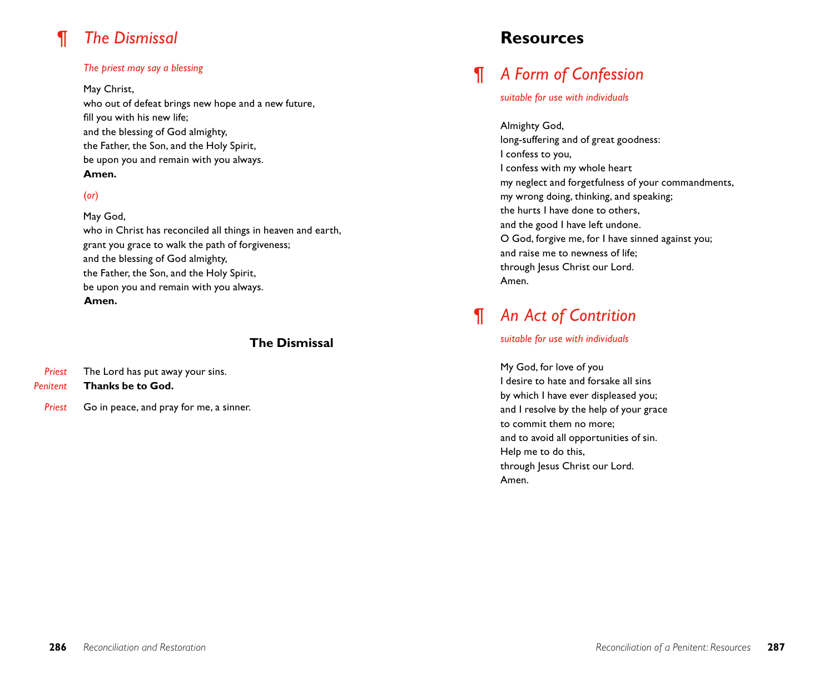# *¶ The Dismissal*

### *The priest may say a blessing*

### May Christ,

who out of defeat brings new hope and a new future, fill you with his new life; and the blessing of God almighty, the Father, the Son, and the Holy Spirit, be upon you and remain with you always. **Amen.**

## (*or*)

### May God,

who in Christ has reconciled all things in heaven and earth, grant you grace to walk the path of forgiveness; and the blessing of God almighty, the Father, the Son, and the Holy Spirit, be upon you and remain with you always. **Amen.**

## **The Dismissal**

| Priest   | The Lord has put away your sins. |
|----------|----------------------------------|
| Penitent | Thanks be to God.                |

*Priest* Go in peace, and pray for me, a sinner.

# **Resources**

# ¶ *A Form of Confession*

*suitable for use with individuals*

Almighty God, long-suffering and of great goodness: I confess to you, I confess with my whole heart my neglect and forgetfulness of your commandments, my wrong doing, thinking, and speaking; the hurts I have done to others, and the good I have left undone. O God, forgive me, for I have sinned against you; and raise me to newness of life; through Jesus Christ our Lord. Amen.

# ¶ *An Act of Contrition*

### *suitable for use with individuals*

My God, for love of you I desire to hate and forsake all sins by which I have ever displeased you; and I resolve by the help of your grace to commit them no more; and to avoid all opportunities of sin. Help me to do this, through Jesus Christ our Lord. Amen.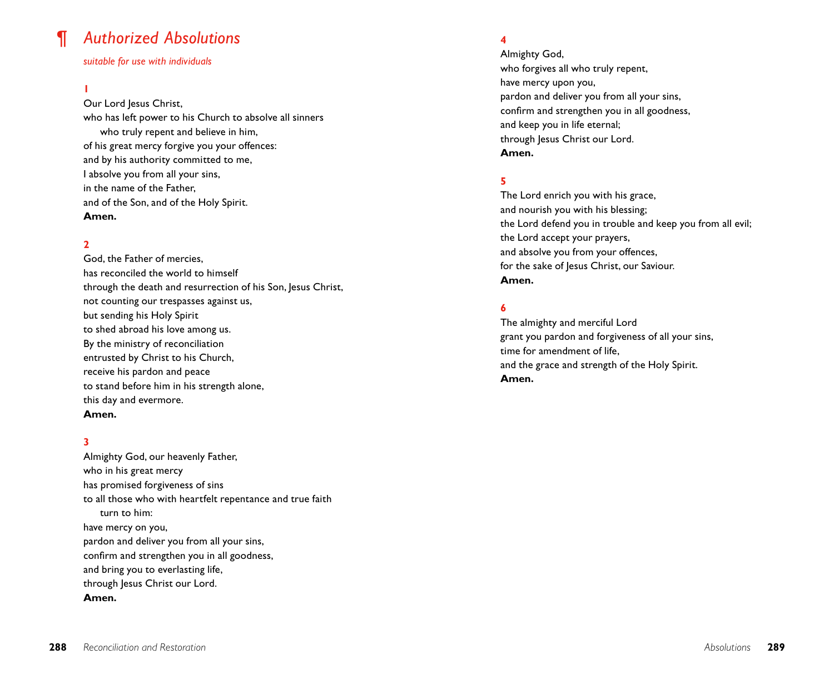#### *suitable for use with individuals*

### **1**

Our Lord Jesus Christ, who has left power to his Church to absolve all sinners who truly repent and believe in him, of hi s great mercy forgive you your offences: and by his authority committed to me, I absolve you from all your sins, in the name of the Father, and of the Son, and of the Holy Spirit. **Amen.**

### **2**

**28 Authorized Absolutions 288**<br> **2888 <b>Reconciliation** and Restoration and Restoration and Restorations and Restorations and Restorations and Restorations<br> **2888 and Reformer units Constructions**<br> **2888 and Reformer a** God, the Father of mercies, has reconciled the world to himself through the death and resurrection of his Son, Jesus Christ, not counting our trespasses against us, but sending his Holy Spirit to shed abroad his love among us. By the ministry of reconciliation entrusted by Christ to his Church, receive his pardon and peace to stand before him in his strength alone, this day and evermore. **Amen.**

### **3**

Almighty God, our heavenly Father, who in his great mercy has promised forgiveness of sins to all those who with heartfelt repentance and true faith turn to him: have mercy on you, pardon and deliver you from all your sins, confirm and strengthen you in all goodness, and bring you to everlasting life, through Jesus Christ our Lord. **Amen.**

#### **4**

Almighty God, who forgives all who truly repent, have mercy upon you, pardon and deliver you from all your sins, confirm and strengthen you in all goodness, and keep you in life eternal; through Jesus Christ our Lord. **Amen.**

### **5**

The Lord enrich you with his grace, and nourish you with his blessing; the Lord defend you in trouble and keep you from all evil; the Lord accept your prayers, and absolve you from your offences, for the sake of Jesus Christ, our Saviour. **Amen.**

## **6**

The almighty and merciful Lord grant you pardon and forgiveness of all your sins, time for amendment of life, and the grace and strength of the Holy Spirit. **Amen.**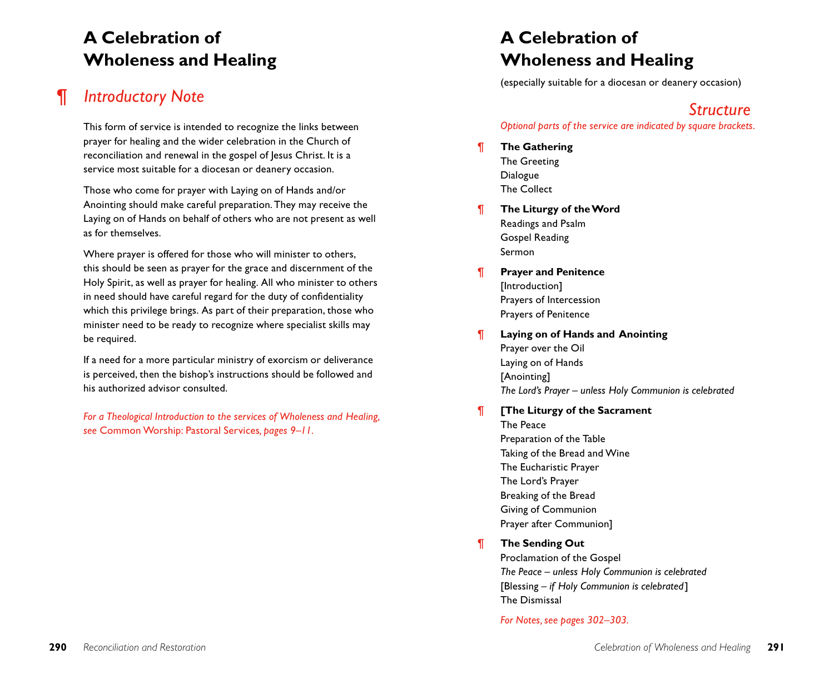# **A Celebration of Wholeness and Healing**

## ¶ *Introductory Note*

This form of service is intended to recognize the links between prayer for healing and the wider celebration in the Church of reconciliation and renewal in the gospel of Jesus Christ. It is a service most suitable for a diocesan or deanery occasion.

Those who come for prayer with Laying on of Hands and/or Anointing should make careful preparation. They may receive the Laying on of Hands on behalf of others who are not present as well as for themselves.

Where prayer is offered for those who will minister to others, this should be seen as prayer for the grace and discernment of the Holy Spirit, as well as prayer for healing. All who minister to others in need should have careful regard for the duty of confidentiality which this privilege brings. As part of their preparation, those who minister need to be ready to recognize where specialist skills may be required.

If a need for a more particular ministry of exorcism or deliverance is perceived, then the bishop's instructions should be followed and his authorized advisor consulted.

*For a Theological Introduction to the services of Wholeness and Healing, see* Common Worship: Pastoral Services*, pages 9–11.*

# **A Celebration of Wholeness and Healing**

(especially suitable for a diocesan or deanery occasion)

## *Structure*

*Optional parts of the service are indicated by square brackets.*

- ¶ **The Gathering** The Greeting Dialogue The Collect
- ¶ **The Liturgy of the Word** Readings and Psalm Gospel Reading Sermon
- **Prayer and Penitence** [Introduction] Prayers of Intercession Prayers of Penitence
- ¶ **Laying on of Hands and Anointing** Prayer over the Oil Laying on of Hands [Anointing] *The Lord's Prayer – unless Holy Communion is celebrated*
- ¶ **[The Liturgy of the Sacrament**

The Peace Preparation of the Table Taking of the Bread and Wine The Eucharistic Prayer The Lord's Prayer Breaking of the Bread Giving of Communion Prayer after Communion]

### ¶ **The Sending Out**

Proclamation of the Gospel *The Peace – unless Holy Communion is celebrated* [Blessing – *if Holy Communion is celebrated*] The Dismissal

*For Notes, see pages 302–303.*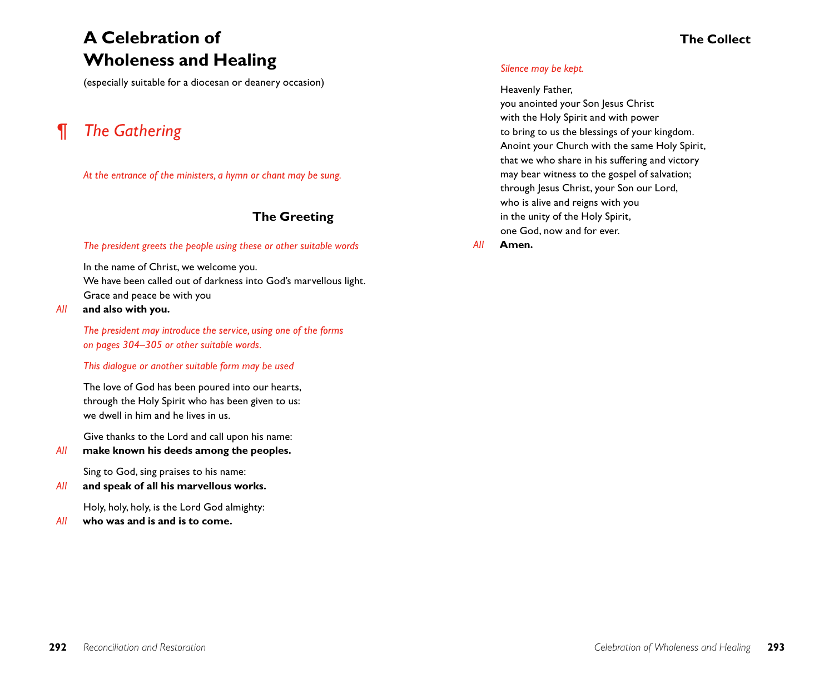# **A Celebration of Wholeness and Healing**

(especially suitable for a diocesan or deanery occasion)

# *¶ The Gathering*

*At the entrance of the ministers, a hymn or chant may be sung.*

## **The Greeting**

### *The president greets the people using these or other suitable words*

In the name of Christ, we welcome you. We have been called out of darkness into God's marvellous light. Grace and peace be with you

*All* **and also with you.**

*The president may introduce the service, using one of the forms on pages 304–305 or other suitable words.*

#### *This dialogue or another suitable form may be used*

The love of God has been poured into our hearts, through the Holy Spirit who has been given to us: we dwell in him and he lives in us.

Give thanks to the Lord and call upon his name:

*All* **make known his deeds among the peoples.**

Sing to God, sing praises to his name:

*All* **and speak of all his marvellous works.**

Holy, holy, holy, is the Lord God almighty:

*All* **who was and is and is to come.**

### *Silence may be kept.*

Heavenly Father, you anointed your Son Jesus Christ with the Holy Spirit and with power to bring to us the blessings of your kingdom. Anoint your Church with the same Holy Spirit, that we who share in his suffering and victory may bear witness to the gospel of salvation; through Jesus Christ, your Son our Lord, who is alive and reigns with you in the unity of the Holy Spirit, one God, now and for ever.

*All* **Amen.**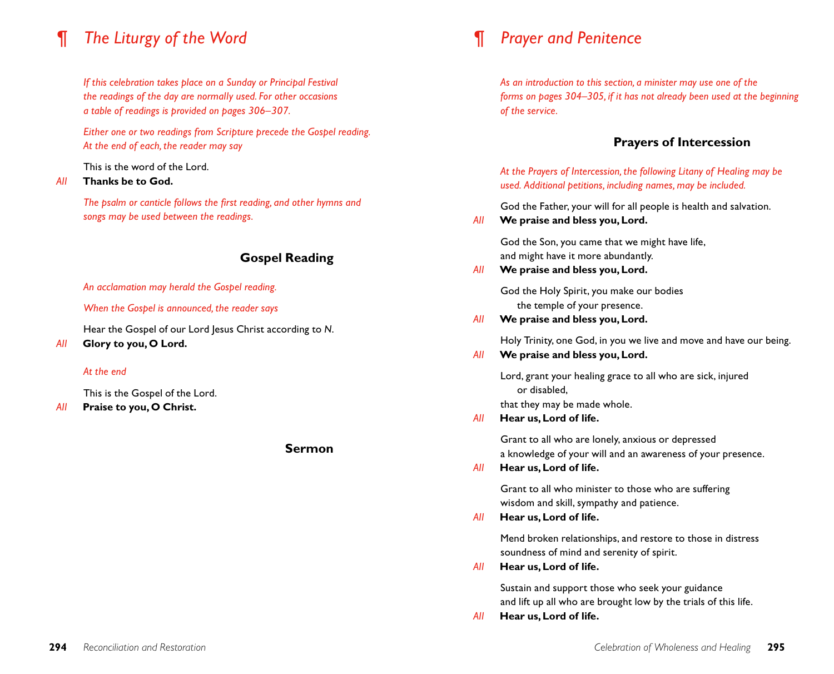# *¶ The Liturgy of the Word*

*If this celebration takes place on a Sunday or Principal Festival the readings of the day are normally used. For other occasions a table of readings is provided on pages 306–307.*

*Either one or two readings from Scripture precede the Gospel reading. At the end of each, the reader may say*

This is the word of the Lord.

### *All* **Thanks be to God.**

*The psalm or canticle follows the first reading, and other hymns and songs may be used between the readings.*

## **Gospel Reading**

*An acclamation may herald the Gospel reading.*

*When the Gospel is announced, the reader says*

Hear the Gospel of our Lord Jesus Christ according to *N*.

*All* **Glory to you, O Lord.**

### *At the end*

This is the Gospel of the Lord.

*All* **Praise to you, O Christ.**

### **Sermon**

## **Prayer and Penitence**

*As an introduction to this section, a minister may use one of the forms on pages 304–305, if it has not already been used at the beginning of the service.*

## **Prayers of Intercession**

*At the Prayers of Intercession, the following Litany of Healing may be used. Additional petitions, including names, may be included.*

God the Father, your will for all people is health and salvation.

*All* **We praise and bless you, Lord.**

God the Son, you came that we might have life, and might have it more abundantly.

*All* **We praise and bless you, Lord.**

God the Holy Spirit, you make our bodies the temple of your presence.

*All* **We praise and bless you, Lord.**

Holy Trinity, one God, in you we live and move and have our being.

*All* **We praise and bless you, Lord.**

Lord, grant your healing grace to all who are sick, injured or disabled,

that they may be made whole.

*All* **Hear us, Lord of life.**

Grant to all who are lonely, anxious or depressed a knowledge of your will and an awareness of your presence.

*All* **Hear us,Lord of life.**

Grant to all who minister to those who are suffering wisdom and skill, sympathy and patience.

### *All* **Hear us,Lord of life.**

Mend broken relationships, and restore to those in distress soundness of mind and serenity of spirit.

*All* **Hear us,Lord of life.**

Sustain and support those who seek your guidance and lift up all who are brought low by the trials of this life.

*All* **Hear us, Lord of life.**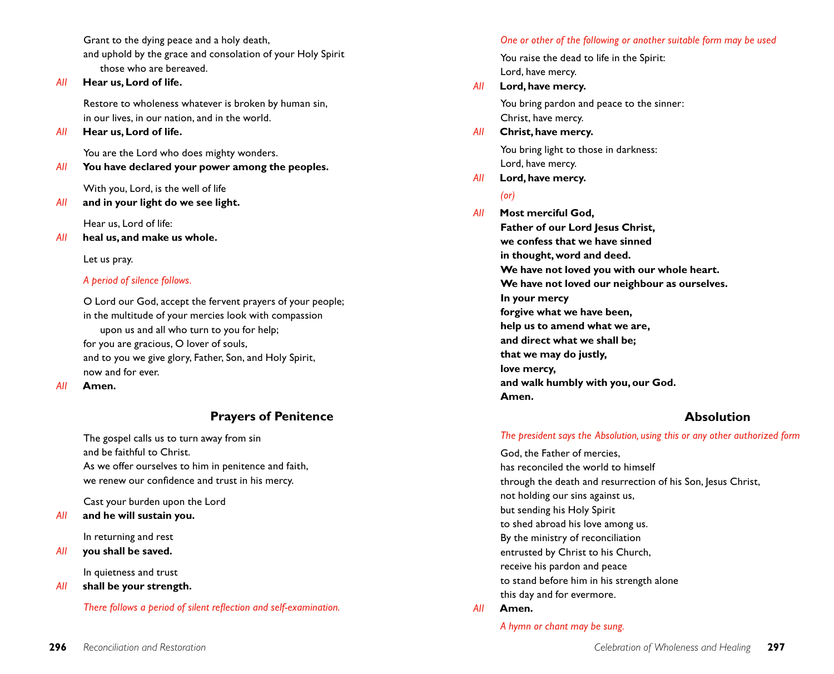Grant to the dying peace and a holy death, and uphold by the grace and consolation of your Holy Spirit those who are bereaved.

### *All* **Hear us, Lord of life.**

Restore to wholeness whatever is broken by human sin, in our lives, in our nation, and in the world.

### *All* **Hear us, Lord of life.**

You are the Lord who does mighty wonders.

*All* **You have declared your power among the peoples.**

With you, Lord, is the well of life

*All* **and in your light do we see light.**

Hear us, Lord of life:

*All* **heal us, and make us whole.**

Let us pray.

## *A period of silence follows.*

O Lord our God, accept the fervent prayers of your people; in the multitude of your mercies look with compassion upon us and all who turn to you for help; for you are gracious, O lover of souls, and to you we give glory, Father, Son, and Holy Spirit, now and for ever.

*All* **Amen.**

## **Prayers of Penitence**

The gospel calls us to turn away from sin and be faithful to Christ. As we offer ourselves to him in penitence and faith, we renew our confidence and trust in his mercy.

Cast your burden upon the Lord

### *All* **and he will sustain you.**

In returning and rest

*All* **you shall be saved.**

In quietness and trust

*All* **shall be your strength.**

*There follows a period of silent reflection and self-examination.*

*One or other of the following or another suitable form may be used*

You raise the dead to life in the Spirit: Lord, have mercy.

*All* **Lord, have mercy.**

You bring pardon and peace to the sinner: Christ, have mercy.

*All* **Christ, have mercy.**

You bring light to those in darkness: Lord, have mercy.

*All* **Lord, have mercy.**

## *(or)*

- *All* **Most merciful God,**
	- **Father of our Lord lesus Christ. we confess that we have sinned in thought, word and deed. We have not loved you with our whole heart. We have not loved our neighbour as ourselves. In your mercy forgive what we have been, help us to amend what we are, and direct what we shall be; that we may do justly, love mercy, and walk humbly with you, our God. Amen.**

## **Absolution**

### *The president says the Absolution, using this or any other authorized form*

God, the Father of mercies, has reconciled the world to himself through the death and resurrection of his Son, Jesus Christ, not holding our sins against us, but sending his Holy Spirit to shed abroad his love among us. By the ministry of reconciliation entrusted by Christ to his Church, receive his pardon and peace to stand before him in his strength alone this day and for evermore.

*All* **Amen.**

*A hymn or chant may be sung.*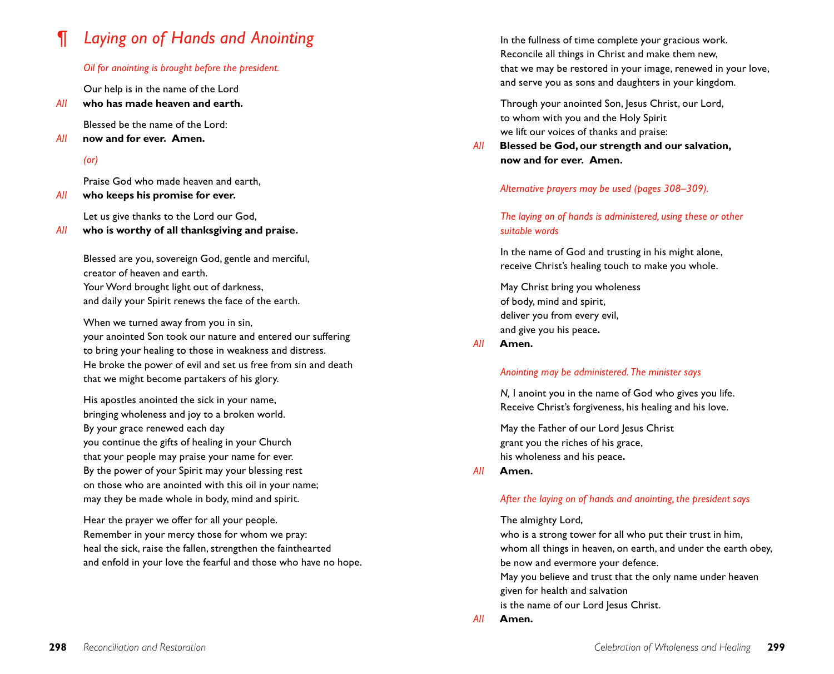# *¶ Laying on of Hands and Anointing*

### *Oil for anointing is brought before the president.*

Our help is in the name of the Lord

*All* **who has made heaven and earth.**

Blessed be the name of the Lord:

*All* **now and for ever. Amen.**

### *(or)*

Praise God who made heaven and earth, *All* **who keeps his promise for ever.**

Let us give thanks to the Lord our God,

*All* **who is worthy of all thanksgiving and praise.**

Blessed are you, sovereign God, gentle and merciful, creator of heaven and earth. Your Word brought light out of darkness, and daily your Spirit renews the face of the earth.

When we turned away from you in sin, your anointed Son took our nature and entered our suffering to bring your healing to those in weakness and distress. He broke the power of evil and set us free from sin and death that we might become partakers of his glory.

His apostles anointed the sick in your name, bringing wholeness and joy to a broken world. By your grace renewed each day you continue the gifts of healing in your Church that your people may praise your name for ever. By the power of your Spirit may your blessing rest on those who are anointed with this oil in your name; may they be made whole in body, mind and spirit.

Hear the prayer we offer for all your people. Remember in your mercy those for whom we pray: heal the sick, raise the fallen, strengthen the fainthearted and enfold in your love the fearful and those who have no hope. In the fullness of time complete your gracious work. Reconcile all things in Christ and make them new, that we may be restored in your image, renewed in your love, and serve you as sons and daughters in your kingdom.

Through your anointed Son, lesus Christ, our Lord, to whom with you and the Holy Spirit we lift our voices of thanks and praise:

*All* **Blessed be God, our strength and our salvation, now and for ever. Amen.**

### *Alternative prayers may be used (pages 308–309).*

*The laying on of hands is administered, using these or other suitable words*

In the name of God and trusting in his might alone, receive Christ's healing touch to make you whole.

May Christ bring you wholeness of body, mind and spirit, deliver you from every evil, and give you his peace**.**

*All* **Amen.**

### *Anointing may be administered. The minister says*

*N,* I anoint you in the name of God who gives you life. Receive Christ's forgiveness, his healing and his love.

May the Father of our Lord Jesus Christ grant you the riches of his grace, his wholeness and his peace**.**

*All* **Amen.**

### *After the laying on of hands and anointing, the president says*

The almighty Lord,

who is a strong tower for all who put their trust in him, whom all things in heaven, on earth, and under the earth obey, be now and evermore your defence.

May you believe and trust that the only name under heaven given for health and salvation

is the name of our Lord Jesus Christ.

*All* **Amen.**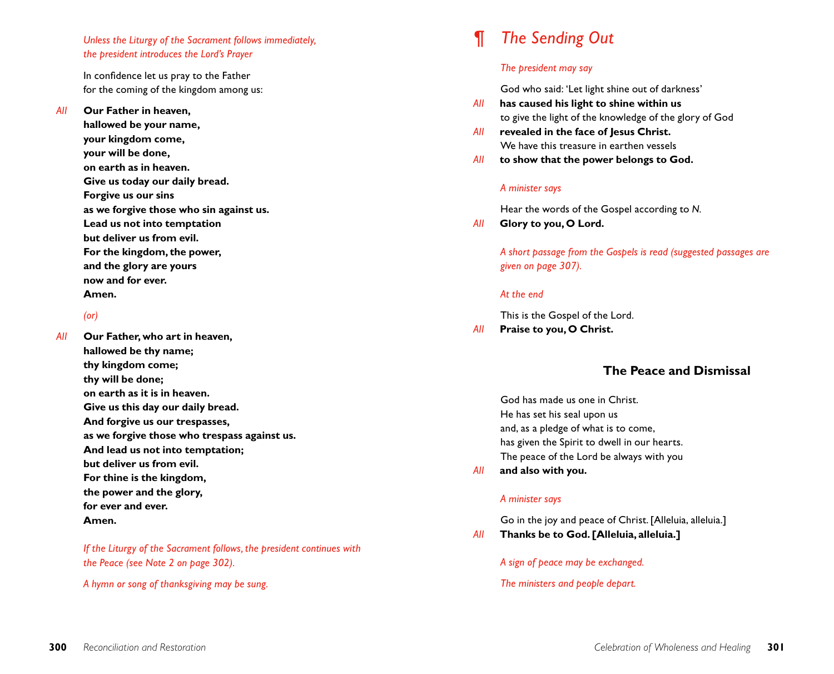### *Unless the Liturgy of the Sacrament follows immediately, the president introduces the Lord's Prayer*

In confidence let us pray to the Father for the coming of the kingdom among us:

*All* **Our Father in heaven,**

**hallowed be your name, your kingdom come, your will be done, on earth as in heaven. Give us today our daily bread. Forgive us our sins as we forgive those who sin against us. Lead us not into temptation but deliver us from evil. For the kingdom, the power, and the glory are yours now and for ever. Amen.**

### *(or)*

*All* **Our Father, who art in heaven, hallowed be thy name; thy kingdom come; thy will be done; on earth as it is in heaven. Give us this day our daily bread. And forgive us our trespasses, as we forgive those who trespass against us. And lead us not into temptation; but deliver us from evil. For thine is the kingdom, the power and the glory, for ever and ever. Amen.**

> *If the Liturgy of the Sacrament follows, the president continues with the Peace (see Note 2 on page 302).*

*A hymn or song of thanksgiving may be sung.*

# *¶ The Sending Out*

### *The president may say*

God who said: 'Let light shine out of darkness'

- *All* **has caused his light to shine within us** to give the light of the knowledge of the glory of God
- *All* **revealed in the face of Jesus Christ.** We have this treasure in earthen vessels
- *All* **to show that the power belongs to God.**

### *A minister says*

Hear the words of the Gospel according to *N.*

*All* **Glory to you, O Lord.**

*A short passage from the Gospels is read (suggested passages are given on page 307).*

### *At the end*

This is the Gospel of the Lord.

*All* **Praise to you, O Christ.**

## **The Peace and Dismissal**

God has made us one in Christ. He has set his seal upon us and, as a pledge of what is to come, has given the Spirit to dwell in our hearts. The peace of the Lord be always with you

*All* **and also with you.**

### *A minister says*

Go in the joy and peace of Christ. [Alleluia, alleluia.]

*All* **Thanks be to God. [Alleluia, alleluia.]**

*A sign of peace may be exchanged.*

*The ministers and people depart.*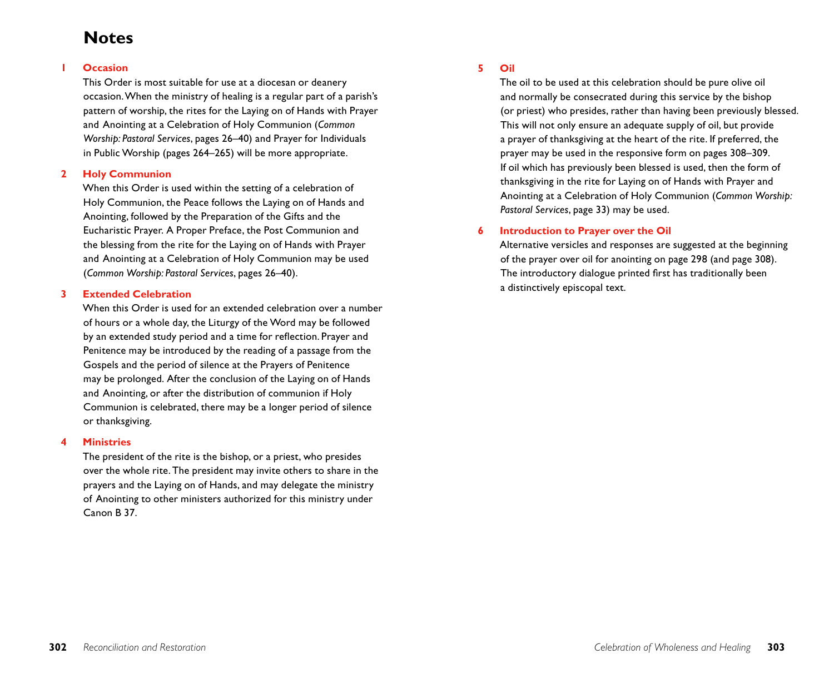## **Notes**

### **1 Occasion**

This Order is most suitable for use at a diocesan or deanery occasion.When the ministry of healing is a regular part of a parish's pattern of worship, the rites for the Laying on of Hands with Prayer and Anointing at a Celebration of Holy Communion (*Common Worship: Pastoral Services*, pages 26–40) and Prayer for Individuals in Public Worship (pages 264–265) will be more appropriate.

### **2 Holy Communion**

When this Order is used within the setting of a celebration of Holy Communion, the Peace follows the Laying on of Hands and Anointing, followed by the Preparation of the Gifts and the Eucharistic Prayer. A Proper Preface, the Post Communion and the blessing from the rite for the Laying on of Hands with Prayer and Anointing at a Celebration of Holy Communion may be used (*Common Worship: Pastoral Services*, pages 26–40).

### **3 Extended Celebration**

When this Order is used for an extended celebration over a number of hours or a whole day, the Liturgy of the Word may be followed by an extended study period and a time for reflection. Prayer and Penitence may be introduced by the reading of a passage from the Gospels and the period of silence at the Prayers of Penitence may be prolonged. After the conclusion of the Laying on of Hands and Anointing, or after the distribution of communion if Holy Communion is celebrated, there may be a longer period of silence or thanksgiving.

### **4 Ministries**

The president of the rite is the bishop, or a priest, who presides over the whole rite. The president may invite others to share in the prayers and the Laying on of Hands, and may delegate the ministry of Anointing to other ministers authorized for this ministry under Canon B 37.

### **5 Oil**

The oil to be used at this celebration should be pure olive oil and normally be consecrated during this service by the bishop (or priest) who presides, rather than having been previously blessed. This will not only ensure an adequate supply of oil, but provide a prayer of thanksgiving at the heart of the rite. If preferred, the prayer may be used in the responsive form on pages 308–309. If oil which has previously been blessed is used, then the form of thanksgiving in the rite for Laying on of Hands with Prayer and Anointing at a Celebration of Holy Communion (*Common Worship: Pastoral Services*, page 33) may be used.

### **6 Introduction to Prayer over the Oil**

Alternative versicles and responses are suggested at the beginning of the prayer over oil for anointing on page 298 (and page 308). The introductory dialogue printed first has traditionally been a distinctively episcopal text.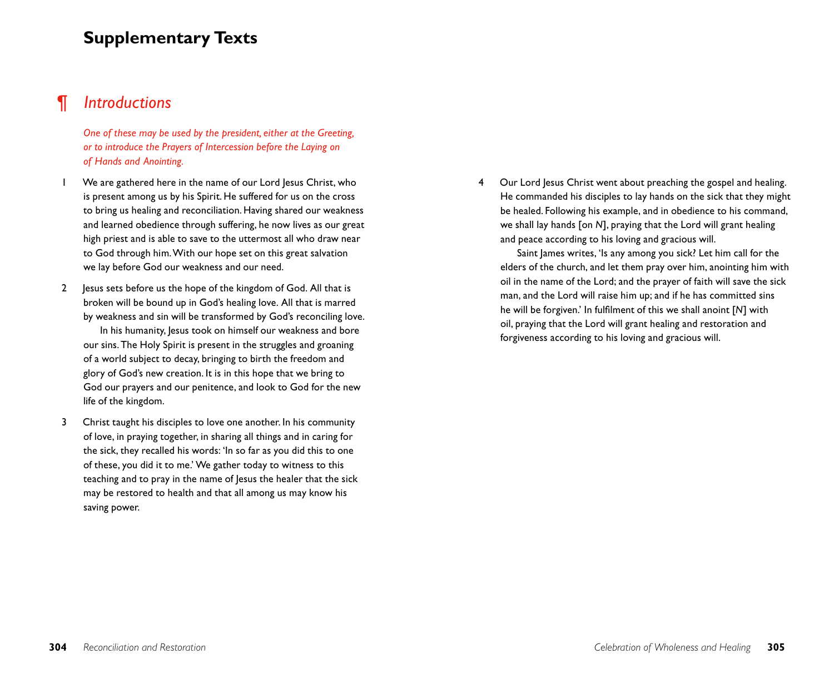## **Supplementary Texts**

## *¶ Introductions*

*One of these may be used by the president, either at the Greeting, or to introduce the Prayers of Intercession before the Laying on of Hands and Anointing.*

- 1 We are gathered here in the name of our Lord Jesus Christ, who is present among us by his Spirit. He suffered for us on the cross to bring us healing and reconciliation. Having shared our weakness and learned obedience through suffering, he now lives as our great high priest and is able to save to the uttermost all who draw near to God through him.With our hope set on this great salvation we lay before God our weakness and our need.
- 2 Jesus sets before us the hope of the kingdom of God. All that is broken will be bound up in God's healing love. All that is marred by weakness and sin will be transformed by God's reconciling love. In his humanity, Jesus took on himself our weakness and bore our sins. The Holy Spirit is present in the struggles and groaning of a world subject to decay, bringing to birth the freedom and glory of God's new creation. It is in this hope that we bring to God our prayers and our penitence, and look to God for the new life of the kingdom.
- 3 Christ taught his disciples to love one another. In his community of love, in praying together, in sharing all things and in caring for the sick, they recalled his words: 'In so far as you did this to one of these, you did it to me.' We gather today to witness to this teaching and to pray in the name of Jesus the healer that the sick may be restored to health and that all among us may know his saving power.

4 Our Lord Jesus Christ went about preaching the gospel and healing. He commanded his disciples to lay hands on the sick that they might be healed. Following his example, and in obedience to his command, we shall lay hands [on *N*], praying that the Lord will grant healing and peace according to his loving and gracious will.

Saint James writes, 'Is any among you sick? Let him call for the elders of the church, and let them pray over him, anointing him with oil in the name of the Lord; and the prayer of faith will save the sick man, and the Lord will raise him up; and if he has committed sins he will be forgiven.' In fulfilment of this we shall anoint [*N*] with oil, praying that the Lord will grant healing and restoration and forgiveness according to his loving and gracious will.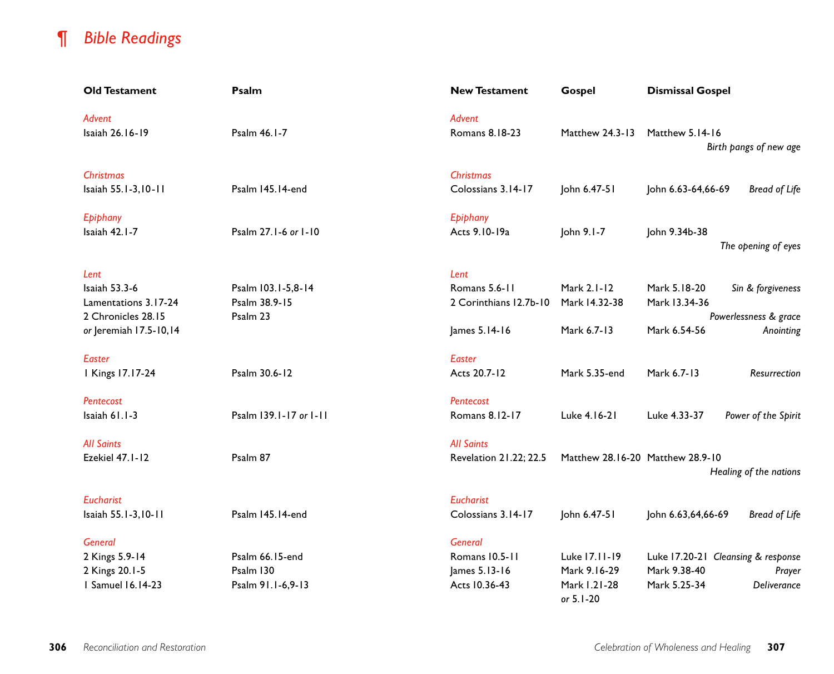# *¶ Bible Readings*

| <b>Old Testament</b>                                                                                 | Psalm                                             | <b>New Testament</b>                                               | Gospel                                                     | <b>Dismissal Gospel</b>                                                                                  |
|------------------------------------------------------------------------------------------------------|---------------------------------------------------|--------------------------------------------------------------------|------------------------------------------------------------|----------------------------------------------------------------------------------------------------------|
| <b>Advent</b><br>Isaiah 26.16-19                                                                     | Psalm 46.1-7                                      | Advent<br>Romans 8.18-23                                           | Matthew 24.3-13                                            | Matthew 5.14-16<br>Birth pangs of new age                                                                |
| <b>Christmas</b><br>Isaiah 55.1-3,10-11                                                              | Psalm 145.14-end                                  | <b>Christmas</b><br>Colossians 3.14-17                             | John 6.47-51                                               | <b>Bread of Life</b><br>John 6.63-64,66-69                                                               |
| Epiphany<br>Isaiah 42.1-7                                                                            | Psalm 27.1-6 or 1-10                              | Epiphany<br>Acts 9.10-19a                                          | John 9.1-7                                                 | John 9.34b-38<br>The opening of eyes                                                                     |
| Lent<br><b>Isaiah 53.3-6</b><br>Lamentations 3.17-24<br>2 Chronicles 28.15<br>or Jeremiah 17.5-10,14 | Psalm 103.1-5,8-14<br>Psalm 38.9-15<br>Psalm 23   | Lent<br>Romans 5.6-11<br>2 Corinthians 12.7b-10<br>James 5.14-16   | Mark 2.1-12<br>Mark 14.32-38<br>Mark 6.7-13                | Mark 5.18-20<br>Sin & forgiveness<br>Mark 13.34-36<br>Powerlessness & grace<br>Mark 6.54-56<br>Anointing |
| <b>Easter</b><br>1 Kings 17.17-24                                                                    | Psalm 30.6-12                                     | <b>Easter</b><br>Acts 20.7-12                                      | Mark 5.35-end                                              | Mark 6.7-13<br>Resurrection                                                                              |
| Pentecost<br>Isaiah 61.1-3                                                                           | Psalm 139.1-17 or 1-11                            | Pentecost<br>Romans 8.12-17                                        | Luke 4.16-21                                               | Luke 4.33-37<br>Power of the Spirit                                                                      |
| <b>All Saints</b><br>Ezekiel 47.1-12                                                                 | Psalm 87                                          | <b>All Saints</b><br>Revelation 21.22; 22.5                        | Matthew 28.16-20 Matthew 28.9-10                           | Healing of the nations                                                                                   |
| <b>Eucharist</b><br>Isaiah 55.1-3,10-11                                                              | Psalm 145.14-end                                  | <b>Eucharist</b><br>Colossians 3.14-17                             | John 6.47-51                                               | John 6.63,64,66-69<br><b>Bread of Life</b>                                                               |
| General<br>2 Kings 5.9-14<br>2 Kings 20.1-5<br>I Samuel 16.14-23                                     | Psalm 66.15-end<br>Psalm 130<br>Psalm 91.1-6,9-13 | <b>General</b><br>Romans 10.5-11<br>James 5.13-16<br>Acts 10.36-43 | Luke 17.11-19<br>Mark 9.16-29<br>Mark 1.21-28<br>or 5.1-20 | Luke 17.20-21 Cleansing & response<br>Mark 9.38-40<br>Prayer<br>Mark 5.25-34<br>Deliverance              |